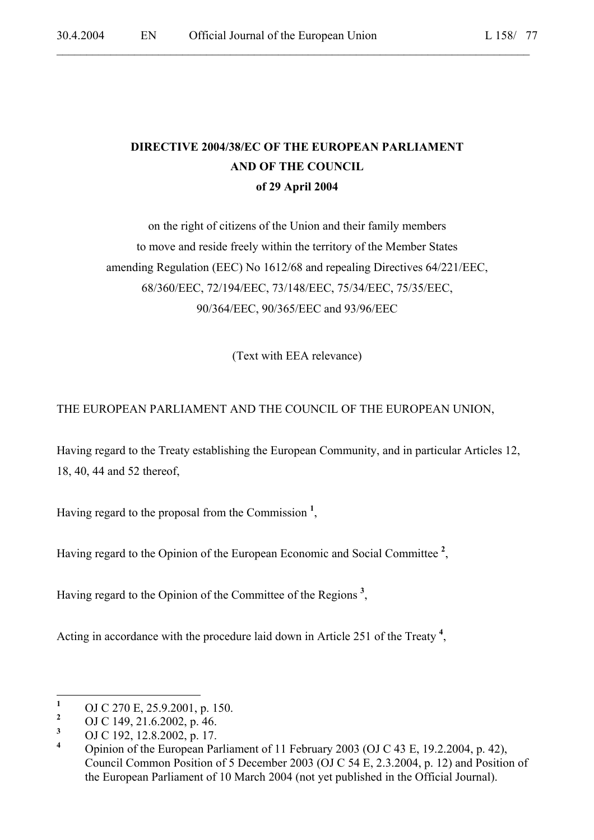# **DIRECTIVE 2004/38/EC OF THE EUROPEAN PARLIAMENT AND OF THE COUNCIL of 29 April 2004**

 $\mathcal{L}_\mathcal{L} = \mathcal{L}_\mathcal{L} = \mathcal{L}_\mathcal{L} = \mathcal{L}_\mathcal{L} = \mathcal{L}_\mathcal{L} = \mathcal{L}_\mathcal{L} = \mathcal{L}_\mathcal{L} = \mathcal{L}_\mathcal{L} = \mathcal{L}_\mathcal{L} = \mathcal{L}_\mathcal{L} = \mathcal{L}_\mathcal{L} = \mathcal{L}_\mathcal{L} = \mathcal{L}_\mathcal{L} = \mathcal{L}_\mathcal{L} = \mathcal{L}_\mathcal{L} = \mathcal{L}_\mathcal{L} = \mathcal{L}_\mathcal{L}$ 

on the right of citizens of the Union and their family members to move and reside freely within the territory of the Member States amending Regulation (EEC) No 1612/68 and repealing Directives 64/221/EEC, 68/360/EEC, 72/194/EEC, 73/148/EEC, 75/34/EEC, 75/35/EEC, 90/364/EEC, 90/365/EEC and 93/96/EEC

(Text with EEA relevance)

# THE EUROPEAN PARLIAMENT AND THE COUNCIL OF THE EUROPEAN UNION,

Having regard to the Treaty establishing the European Community, and in particular Articles 12, 18, 40, 44 and 52 thereof,

Having regard to the proposal from the Commission **<sup>1</sup>** ,

Having regard to the Opinion of the European Economic and Social Committee **<sup>2</sup>** ,

Having regard to the Opinion of the Committee of the Regions **<sup>3</sup>** ,

Acting in accordance with the procedure laid down in Article 251 of the Treaty **<sup>4</sup>** ,

 $\mathbf{1}$ <sup>1</sup> OJ C 270 E, 25.9.2001, p. 150.

<sup>&</sup>lt;sup>2</sup> OJ C 149, 21.6.2002, p. 46.

**<sup>3</sup>** OJ C 192, 12.8.2002, p. 17.

**<sup>4</sup>** Opinion of the European Parliament of 11 February 2003 (OJ C 43 E, 19.2.2004, p. 42), Council Common Position of 5 December 2003 (OJ C 54 E, 2.3.2004, p. 12) and Position of the European Parliament of 10 March 2004 (not yet published in the Official Journal).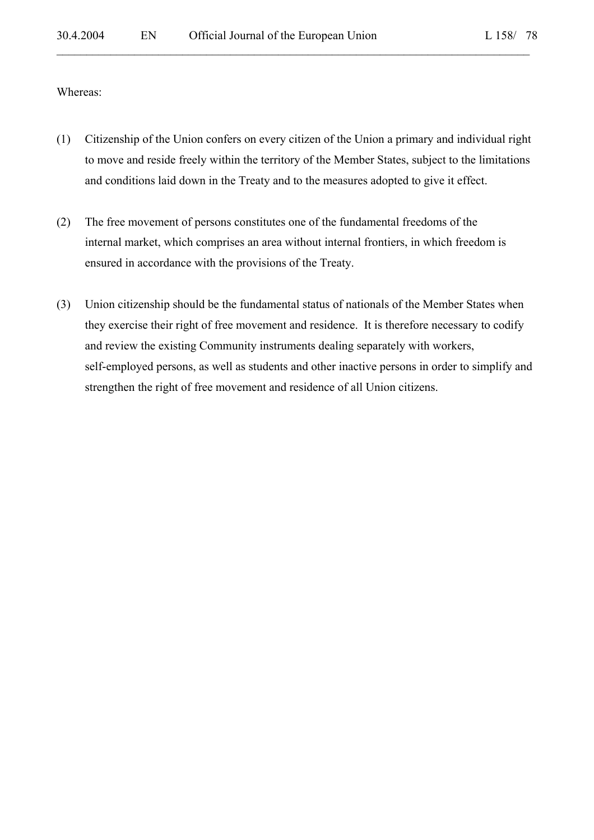Whereas:

(1) Citizenship of the Union confers on every citizen of the Union a primary and individual right to move and reside freely within the territory of the Member States, subject to the limitations and conditions laid down in the Treaty and to the measures adopted to give it effect.

- (2) The free movement of persons constitutes one of the fundamental freedoms of the internal market, which comprises an area without internal frontiers, in which freedom is ensured in accordance with the provisions of the Treaty.
- (3) Union citizenship should be the fundamental status of nationals of the Member States when they exercise their right of free movement and residence. It is therefore necessary to codify and review the existing Community instruments dealing separately with workers, self-employed persons, as well as students and other inactive persons in order to simplify and strengthen the right of free movement and residence of all Union citizens.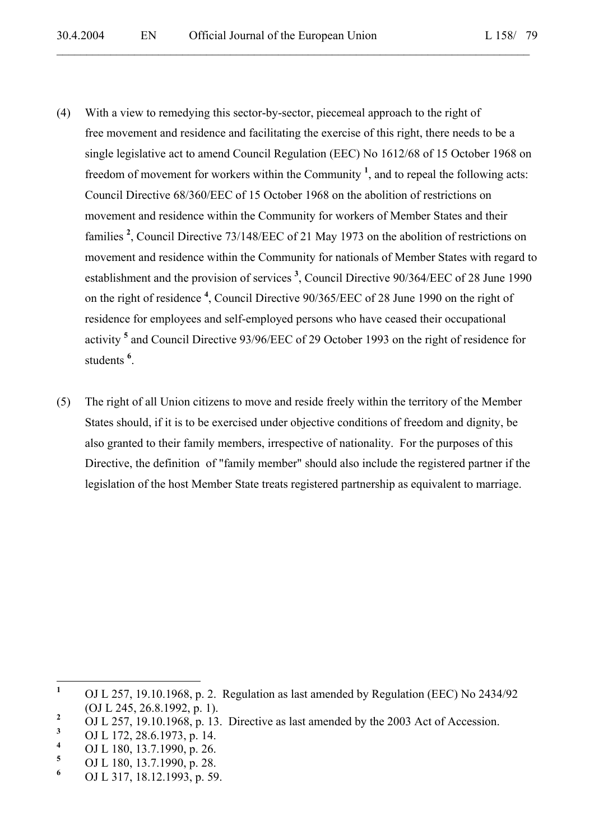(4) With a view to remedying this sector-by-sector, piecemeal approach to the right of free movement and residence and facilitating the exercise of this right, there needs to be a single legislative act to amend Council Regulation (EEC) No 1612/68 of 15 October 1968 on freedom of movement for workers within the Community **<sup>1</sup>** , and to repeal the following acts: Council Directive 68/360/EEC of 15 October 1968 on the abolition of restrictions on movement and residence within the Community for workers of Member States and their families<sup>2</sup>, Council Directive 73/148/EEC of 21 May 1973 on the abolition of restrictions on movement and residence within the Community for nationals of Member States with regard to establishment and the provision of services **<sup>3</sup>** , Council Directive 90/364/EEC of 28 June 1990 on the right of residence **<sup>4</sup>** , Council Directive 90/365/EEC of 28 June 1990 on the right of residence for employees and self-employed persons who have ceased their occupational activity **<sup>5</sup>** and Council Directive 93/96/EEC of 29 October 1993 on the right of residence for students **<sup>6</sup>** .

 $\mathcal{L}_\mathcal{L} = \mathcal{L}_\mathcal{L} = \mathcal{L}_\mathcal{L} = \mathcal{L}_\mathcal{L} = \mathcal{L}_\mathcal{L} = \mathcal{L}_\mathcal{L} = \mathcal{L}_\mathcal{L} = \mathcal{L}_\mathcal{L} = \mathcal{L}_\mathcal{L} = \mathcal{L}_\mathcal{L} = \mathcal{L}_\mathcal{L} = \mathcal{L}_\mathcal{L} = \mathcal{L}_\mathcal{L} = \mathcal{L}_\mathcal{L} = \mathcal{L}_\mathcal{L} = \mathcal{L}_\mathcal{L} = \mathcal{L}_\mathcal{L}$ 

(5) The right of all Union citizens to move and reside freely within the territory of the Member States should, if it is to be exercised under objective conditions of freedom and dignity, be also granted to their family members, irrespective of nationality. For the purposes of this Directive, the definition of "family member" should also include the registered partner if the legislation of the host Member State treats registered partnership as equivalent to marriage.

 $\mathbf{1}$ **<sup>1</sup>** OJ L 257, 19.10.1968, p. 2. Regulation as last amended by Regulation (EEC) No 2434/92 (OJ L 245, 26.8.1992, p. 1).

<sup>&</sup>lt;sup>2</sup> OJ L 257, 19.10.1968, p. 13. Directive as last amended by the 2003 Act of Accession.

<sup>&</sup>lt;sup>3</sup> OJ L 172, 28.6.1973, p. 14.

<sup>&</sup>lt;sup>4</sup> OJ L 180, 13.7.1990, p. 26.

**<sup>5</sup>** OJ L 180, 13.7.1990, p. 28.

**<sup>6</sup>** OJ L 317, 18.12.1993, p. 59.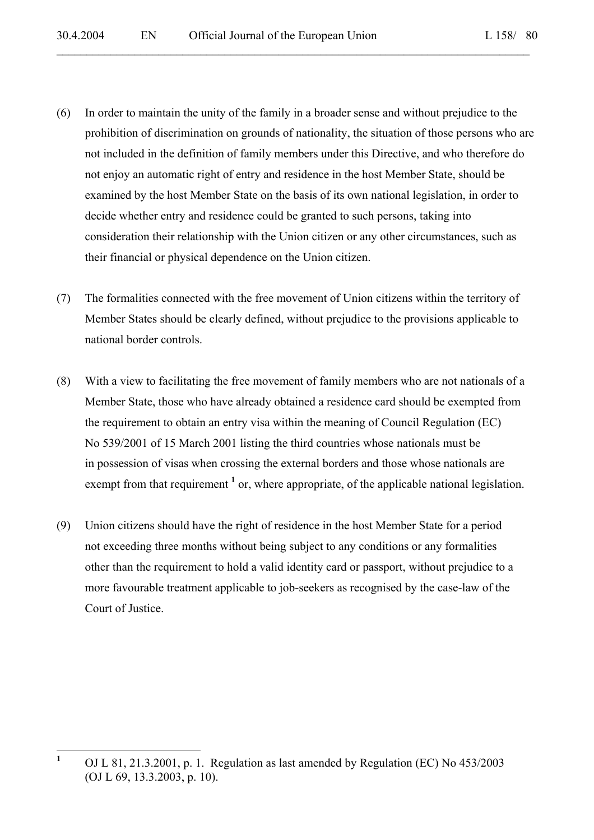(6) In order to maintain the unity of the family in a broader sense and without prejudice to the prohibition of discrimination on grounds of nationality, the situation of those persons who are not included in the definition of family members under this Directive, and who therefore do not enjoy an automatic right of entry and residence in the host Member State, should be examined by the host Member State on the basis of its own national legislation, in order to decide whether entry and residence could be granted to such persons, taking into consideration their relationship with the Union citizen or any other circumstances, such as their financial or physical dependence on the Union citizen.

- (7) The formalities connected with the free movement of Union citizens within the territory of Member States should be clearly defined, without prejudice to the provisions applicable to national border controls.
- (8) With a view to facilitating the free movement of family members who are not nationals of a Member State, those who have already obtained a residence card should be exempted from the requirement to obtain an entry visa within the meaning of Council Regulation (EC) No 539/2001 of 15 March 2001 listing the third countries whose nationals must be in possession of visas when crossing the external borders and those whose nationals are exempt from that requirement <sup>1</sup> or, where appropriate, of the applicable national legislation.
- (9) Union citizens should have the right of residence in the host Member State for a period not exceeding three months without being subject to any conditions or any formalities other than the requirement to hold a valid identity card or passport, without prejudice to a more favourable treatment applicable to job-seekers as recognised by the case-law of the Court of Justice

 **1** OJ L 81, 21.3.2001, p. 1. Regulation as last amended by Regulation (EC) No 453/2003 (OJ L 69, 13.3.2003, p. 10).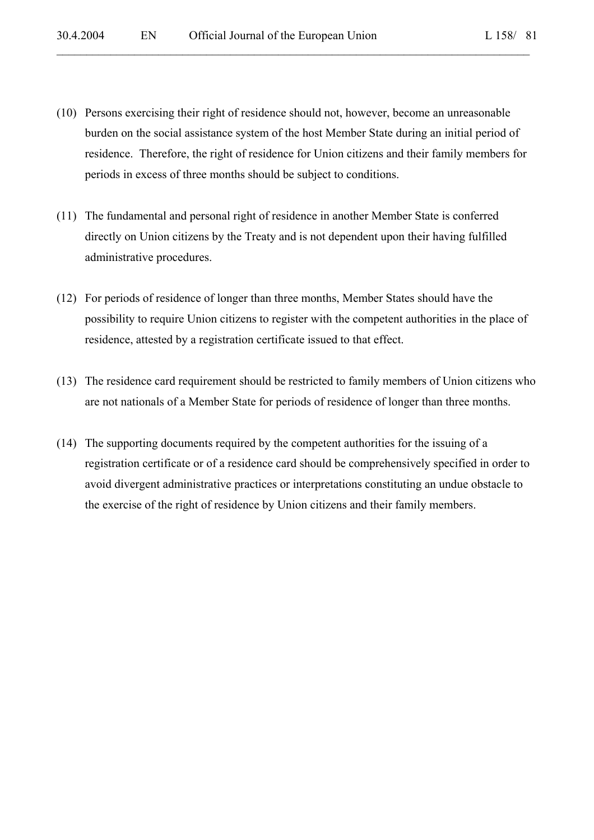(10) Persons exercising their right of residence should not, however, become an unreasonable burden on the social assistance system of the host Member State during an initial period of residence. Therefore, the right of residence for Union citizens and their family members for periods in excess of three months should be subject to conditions.

- (11) The fundamental and personal right of residence in another Member State is conferred directly on Union citizens by the Treaty and is not dependent upon their having fulfilled administrative procedures.
- (12) For periods of residence of longer than three months, Member States should have the possibility to require Union citizens to register with the competent authorities in the place of residence, attested by a registration certificate issued to that effect.
- (13) The residence card requirement should be restricted to family members of Union citizens who are not nationals of a Member State for periods of residence of longer than three months.
- (14) The supporting documents required by the competent authorities for the issuing of a registration certificate or of a residence card should be comprehensively specified in order to avoid divergent administrative practices or interpretations constituting an undue obstacle to the exercise of the right of residence by Union citizens and their family members.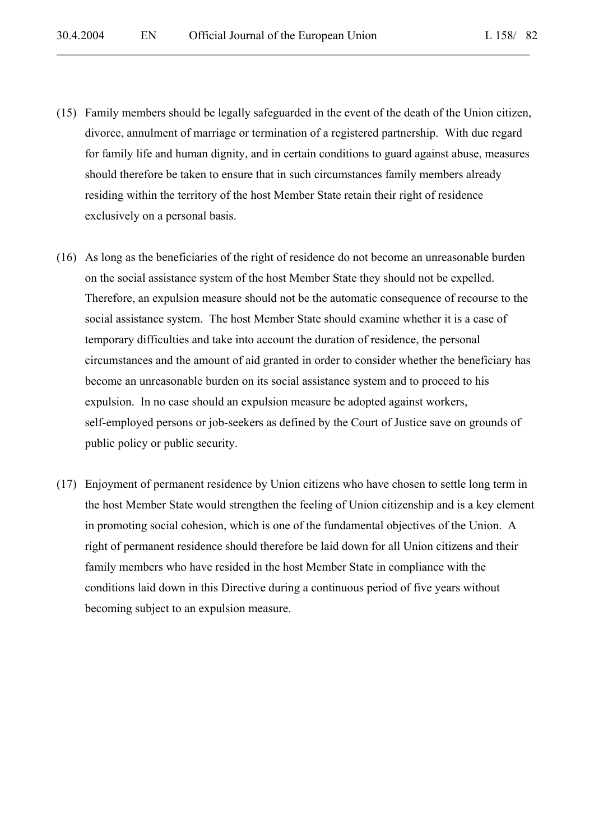(15) Family members should be legally safeguarded in the event of the death of the Union citizen, divorce, annulment of marriage or termination of a registered partnership. With due regard for family life and human dignity, and in certain conditions to guard against abuse, measures should therefore be taken to ensure that in such circumstances family members already residing within the territory of the host Member State retain their right of residence exclusively on a personal basis.

- (16) As long as the beneficiaries of the right of residence do not become an unreasonable burden on the social assistance system of the host Member State they should not be expelled. Therefore, an expulsion measure should not be the automatic consequence of recourse to the social assistance system. The host Member State should examine whether it is a case of temporary difficulties and take into account the duration of residence, the personal circumstances and the amount of aid granted in order to consider whether the beneficiary has become an unreasonable burden on its social assistance system and to proceed to his expulsion. In no case should an expulsion measure be adopted against workers, self-employed persons or job-seekers as defined by the Court of Justice save on grounds of public policy or public security.
- (17) Enjoyment of permanent residence by Union citizens who have chosen to settle long term in the host Member State would strengthen the feeling of Union citizenship and is a key element in promoting social cohesion, which is one of the fundamental objectives of the Union. A right of permanent residence should therefore be laid down for all Union citizens and their family members who have resided in the host Member State in compliance with the conditions laid down in this Directive during a continuous period of five years without becoming subject to an expulsion measure.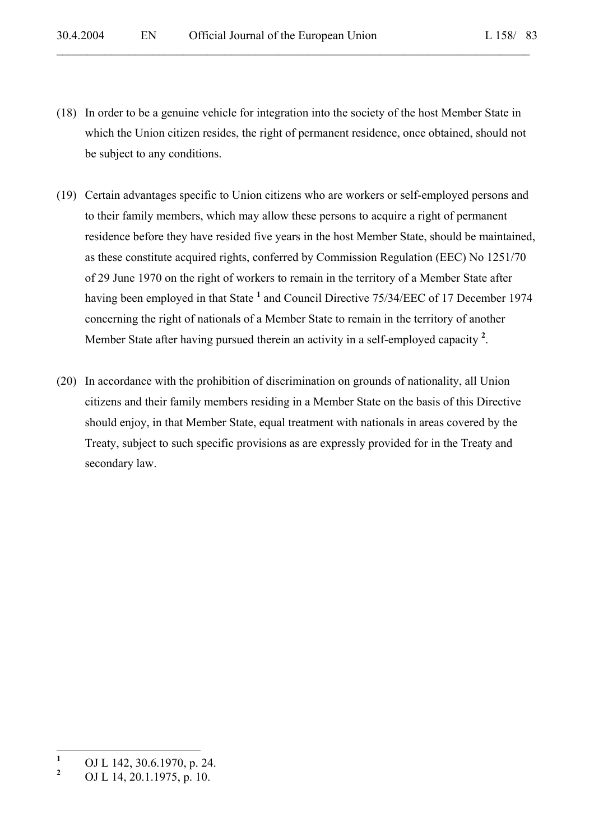(18) In order to be a genuine vehicle for integration into the society of the host Member State in which the Union citizen resides, the right of permanent residence, once obtained, should not be subject to any conditions.

- (19) Certain advantages specific to Union citizens who are workers or self-employed persons and to their family members, which may allow these persons to acquire a right of permanent residence before they have resided five years in the host Member State, should be maintained, as these constitute acquired rights, conferred by Commission Regulation (EEC) No 1251/70 of 29 June 1970 on the right of workers to remain in the territory of a Member State after having been employed in that State<sup>1</sup> and Council Directive 75/34/EEC of 17 December 1974 concerning the right of nationals of a Member State to remain in the territory of another Member State after having pursued therein an activity in a self-employed capacity **<sup>2</sup>** .
- (20) In accordance with the prohibition of discrimination on grounds of nationality, all Union citizens and their family members residing in a Member State on the basis of this Directive should enjoy, in that Member State, equal treatment with nationals in areas covered by the Treaty, subject to such specific provisions as are expressly provided for in the Treaty and secondary law.

 **1** OJ L 142, 30.6.1970, p. 24.

**<sup>2</sup>** OJ L 14, 20.1.1975, p. 10.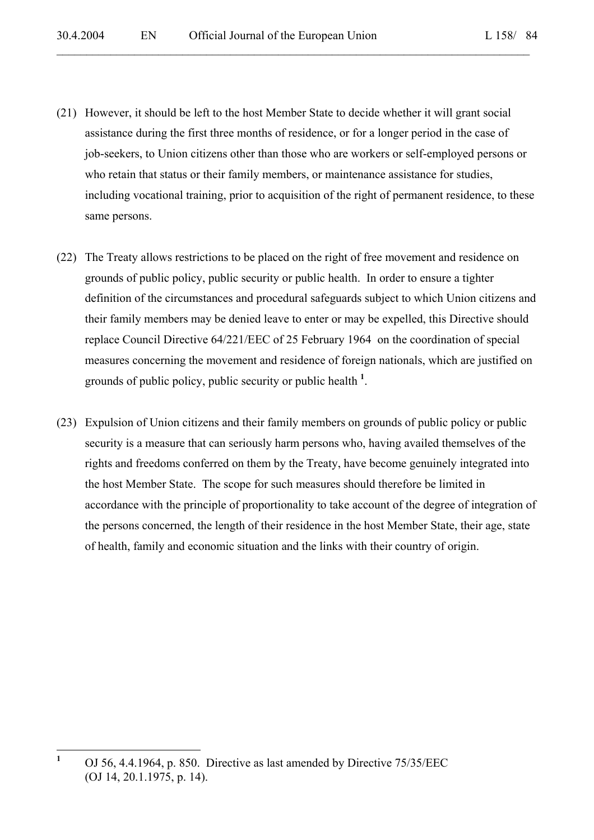(21) However, it should be left to the host Member State to decide whether it will grant social assistance during the first three months of residence, or for a longer period in the case of job-seekers, to Union citizens other than those who are workers or self-employed persons or who retain that status or their family members, or maintenance assistance for studies, including vocational training, prior to acquisition of the right of permanent residence, to these same persons.

- (22) The Treaty allows restrictions to be placed on the right of free movement and residence on grounds of public policy, public security or public health. In order to ensure a tighter definition of the circumstances and procedural safeguards subject to which Union citizens and their family members may be denied leave to enter or may be expelled, this Directive should replace Council Directive 64/221/EEC of 25 February 1964 on the coordination of special measures concerning the movement and residence of foreign nationals, which are justified on grounds of public policy, public security or public health **<sup>1</sup>** .
- (23) Expulsion of Union citizens and their family members on grounds of public policy or public security is a measure that can seriously harm persons who, having availed themselves of the rights and freedoms conferred on them by the Treaty, have become genuinely integrated into the host Member State. The scope for such measures should therefore be limited in accordance with the principle of proportionality to take account of the degree of integration of the persons concerned, the length of their residence in the host Member State, their age, state of health, family and economic situation and the links with their country of origin.

 **1** OJ 56, 4.4.1964, p. 850. Directive as last amended by Directive 75/35/EEC (OJ 14, 20.1.1975, p. 14).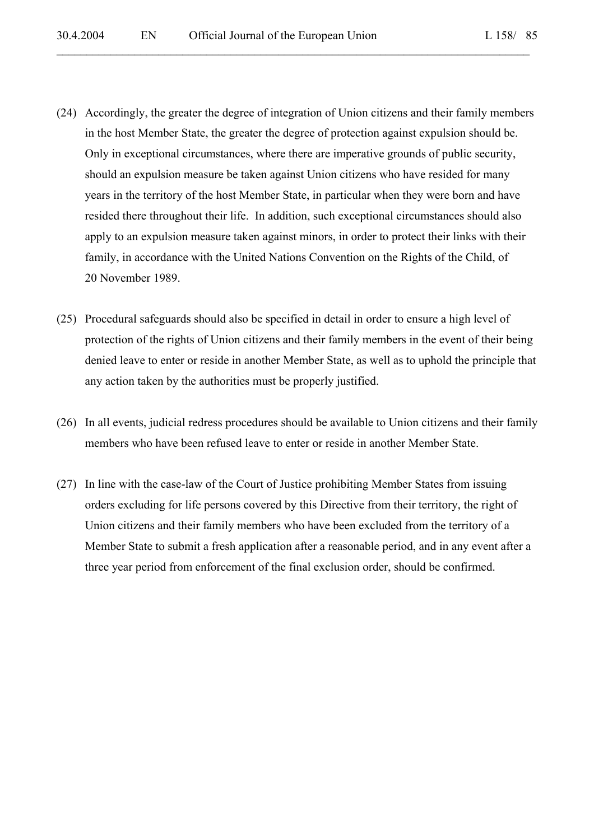(24) Accordingly, the greater the degree of integration of Union citizens and their family members in the host Member State, the greater the degree of protection against expulsion should be. Only in exceptional circumstances, where there are imperative grounds of public security, should an expulsion measure be taken against Union citizens who have resided for many years in the territory of the host Member State, in particular when they were born and have resided there throughout their life. In addition, such exceptional circumstances should also apply to an expulsion measure taken against minors, in order to protect their links with their family, in accordance with the United Nations Convention on the Rights of the Child, of 20 November 1989.

- (25) Procedural safeguards should also be specified in detail in order to ensure a high level of protection of the rights of Union citizens and their family members in the event of their being denied leave to enter or reside in another Member State, as well as to uphold the principle that any action taken by the authorities must be properly justified.
- (26) In all events, judicial redress procedures should be available to Union citizens and their family members who have been refused leave to enter or reside in another Member State.
- (27) In line with the case-law of the Court of Justice prohibiting Member States from issuing orders excluding for life persons covered by this Directive from their territory, the right of Union citizens and their family members who have been excluded from the territory of a Member State to submit a fresh application after a reasonable period, and in any event after a three year period from enforcement of the final exclusion order, should be confirmed.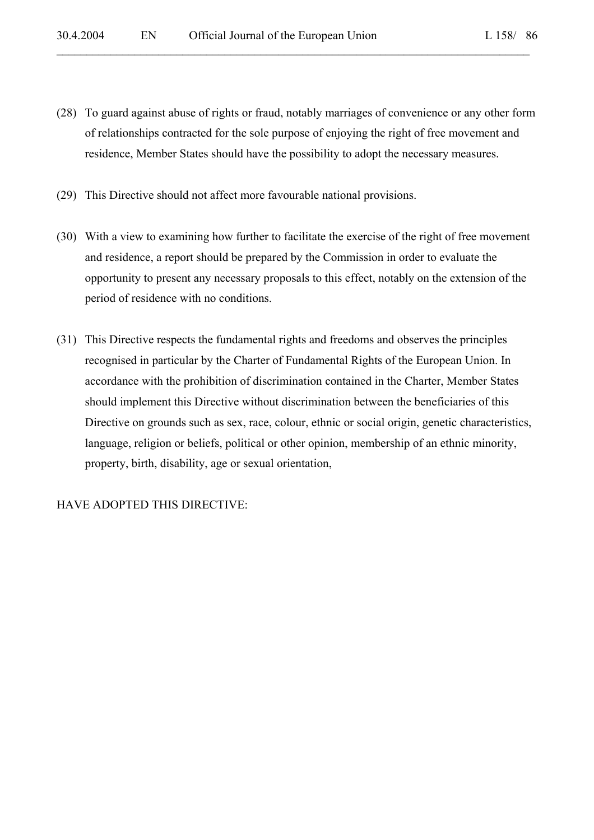(28) To guard against abuse of rights or fraud, notably marriages of convenience or any other form of relationships contracted for the sole purpose of enjoying the right of free movement and residence, Member States should have the possibility to adopt the necessary measures.

 $\mathcal{L}_\mathcal{L} = \mathcal{L}_\mathcal{L} = \mathcal{L}_\mathcal{L} = \mathcal{L}_\mathcal{L} = \mathcal{L}_\mathcal{L} = \mathcal{L}_\mathcal{L} = \mathcal{L}_\mathcal{L} = \mathcal{L}_\mathcal{L} = \mathcal{L}_\mathcal{L} = \mathcal{L}_\mathcal{L} = \mathcal{L}_\mathcal{L} = \mathcal{L}_\mathcal{L} = \mathcal{L}_\mathcal{L} = \mathcal{L}_\mathcal{L} = \mathcal{L}_\mathcal{L} = \mathcal{L}_\mathcal{L} = \mathcal{L}_\mathcal{L}$ 

- (29) This Directive should not affect more favourable national provisions.
- (30) With a view to examining how further to facilitate the exercise of the right of free movement and residence, a report should be prepared by the Commission in order to evaluate the opportunity to present any necessary proposals to this effect, notably on the extension of the period of residence with no conditions.
- (31) This Directive respects the fundamental rights and freedoms and observes the principles recognised in particular by the Charter of Fundamental Rights of the European Union. In accordance with the prohibition of discrimination contained in the Charter, Member States should implement this Directive without discrimination between the beneficiaries of this Directive on grounds such as sex, race, colour, ethnic or social origin, genetic characteristics, language, religion or beliefs, political or other opinion, membership of an ethnic minority, property, birth, disability, age or sexual orientation,

HAVE ADOPTED THIS DIRECTIVE: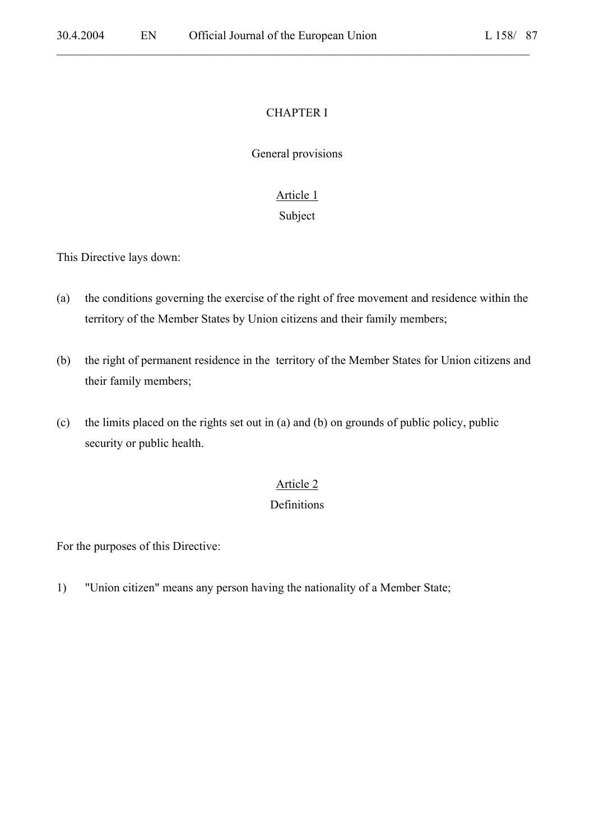### CHAPTER I

 $\mathcal{L}_\mathcal{L} = \mathcal{L}_\mathcal{L} = \mathcal{L}_\mathcal{L} = \mathcal{L}_\mathcal{L} = \mathcal{L}_\mathcal{L} = \mathcal{L}_\mathcal{L} = \mathcal{L}_\mathcal{L} = \mathcal{L}_\mathcal{L} = \mathcal{L}_\mathcal{L} = \mathcal{L}_\mathcal{L} = \mathcal{L}_\mathcal{L} = \mathcal{L}_\mathcal{L} = \mathcal{L}_\mathcal{L} = \mathcal{L}_\mathcal{L} = \mathcal{L}_\mathcal{L} = \mathcal{L}_\mathcal{L} = \mathcal{L}_\mathcal{L}$ 

### General provisions

### Article 1

### Subject

This Directive lays down:

- (a) the conditions governing the exercise of the right of free movement and residence within the territory of the Member States by Union citizens and their family members;
- (b) the right of permanent residence in the territory of the Member States for Union citizens and their family members;
- (c) the limits placed on the rights set out in (a) and (b) on grounds of public policy, public security or public health.

# Article 2

### **Definitions**

For the purposes of this Directive:

1) "Union citizen" means any person having the nationality of a Member State;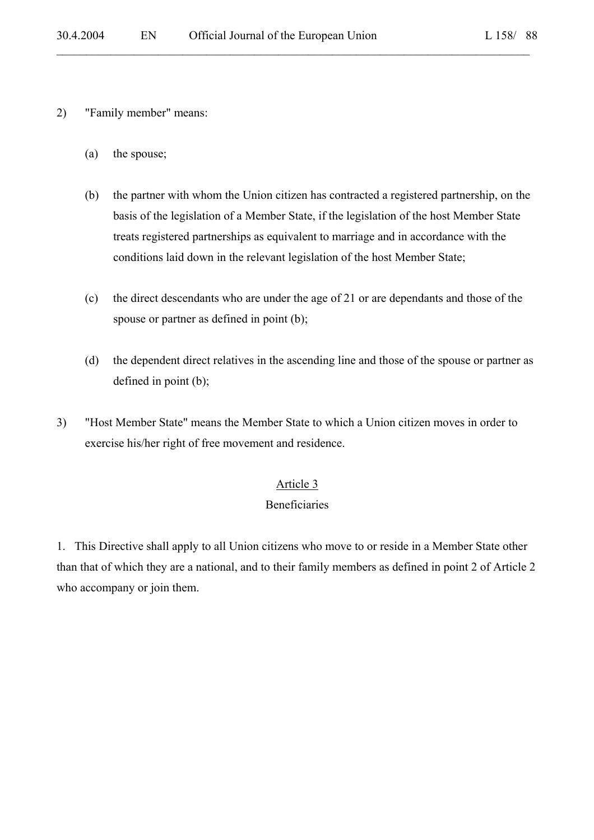- 2) "Family member" means:
	- (a) the spouse;
	- (b) the partner with whom the Union citizen has contracted a registered partnership, on the basis of the legislation of a Member State, if the legislation of the host Member State treats registered partnerships as equivalent to marriage and in accordance with the conditions laid down in the relevant legislation of the host Member State;

 $\mathcal{L}_\mathcal{L} = \mathcal{L}_\mathcal{L} = \mathcal{L}_\mathcal{L} = \mathcal{L}_\mathcal{L} = \mathcal{L}_\mathcal{L} = \mathcal{L}_\mathcal{L} = \mathcal{L}_\mathcal{L} = \mathcal{L}_\mathcal{L} = \mathcal{L}_\mathcal{L} = \mathcal{L}_\mathcal{L} = \mathcal{L}_\mathcal{L} = \mathcal{L}_\mathcal{L} = \mathcal{L}_\mathcal{L} = \mathcal{L}_\mathcal{L} = \mathcal{L}_\mathcal{L} = \mathcal{L}_\mathcal{L} = \mathcal{L}_\mathcal{L}$ 

- (c) the direct descendants who are under the age of 21 or are dependants and those of the spouse or partner as defined in point (b);
- (d) the dependent direct relatives in the ascending line and those of the spouse or partner as defined in point (b);
- 3) "Host Member State" means the Member State to which a Union citizen moves in order to exercise his/her right of free movement and residence.

#### Article 3

### Beneficiaries

1. This Directive shall apply to all Union citizens who move to or reside in a Member State other than that of which they are a national, and to their family members as defined in point 2 of Article 2 who accompany or join them.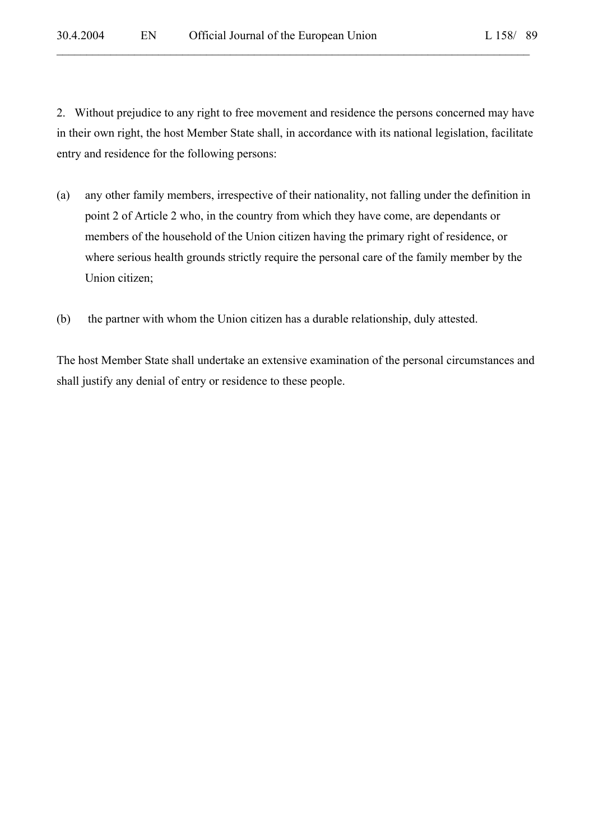2. Without prejudice to any right to free movement and residence the persons concerned may have in their own right, the host Member State shall, in accordance with its national legislation, facilitate entry and residence for the following persons:

 $\mathcal{L}_\mathcal{L} = \mathcal{L}_\mathcal{L} = \mathcal{L}_\mathcal{L} = \mathcal{L}_\mathcal{L} = \mathcal{L}_\mathcal{L} = \mathcal{L}_\mathcal{L} = \mathcal{L}_\mathcal{L} = \mathcal{L}_\mathcal{L} = \mathcal{L}_\mathcal{L} = \mathcal{L}_\mathcal{L} = \mathcal{L}_\mathcal{L} = \mathcal{L}_\mathcal{L} = \mathcal{L}_\mathcal{L} = \mathcal{L}_\mathcal{L} = \mathcal{L}_\mathcal{L} = \mathcal{L}_\mathcal{L} = \mathcal{L}_\mathcal{L}$ 

- (a) any other family members, irrespective of their nationality, not falling under the definition in point 2 of Article 2 who, in the country from which they have come, are dependants or members of the household of the Union citizen having the primary right of residence, or where serious health grounds strictly require the personal care of the family member by the Union citizen;
- (b) the partner with whom the Union citizen has a durable relationship, duly attested.

The host Member State shall undertake an extensive examination of the personal circumstances and shall justify any denial of entry or residence to these people.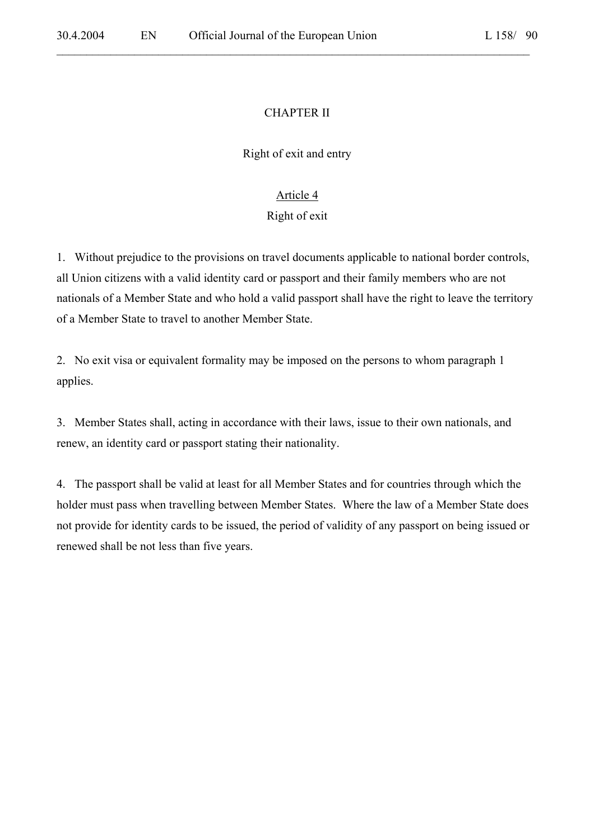### CHAPTER II

 $\mathcal{L}_\mathcal{L} = \mathcal{L}_\mathcal{L} = \mathcal{L}_\mathcal{L} = \mathcal{L}_\mathcal{L} = \mathcal{L}_\mathcal{L} = \mathcal{L}_\mathcal{L} = \mathcal{L}_\mathcal{L} = \mathcal{L}_\mathcal{L} = \mathcal{L}_\mathcal{L} = \mathcal{L}_\mathcal{L} = \mathcal{L}_\mathcal{L} = \mathcal{L}_\mathcal{L} = \mathcal{L}_\mathcal{L} = \mathcal{L}_\mathcal{L} = \mathcal{L}_\mathcal{L} = \mathcal{L}_\mathcal{L} = \mathcal{L}_\mathcal{L}$ 

Right of exit and entry

### Article 4

### Right of exit

1. Without prejudice to the provisions on travel documents applicable to national border controls, all Union citizens with a valid identity card or passport and their family members who are not nationals of a Member State and who hold a valid passport shall have the right to leave the territory of a Member State to travel to another Member State.

2. No exit visa or equivalent formality may be imposed on the persons to whom paragraph 1 applies.

3. Member States shall, acting in accordance with their laws, issue to their own nationals, and renew, an identity card or passport stating their nationality.

4. The passport shall be valid at least for all Member States and for countries through which the holder must pass when travelling between Member States. Where the law of a Member State does not provide for identity cards to be issued, the period of validity of any passport on being issued or renewed shall be not less than five years.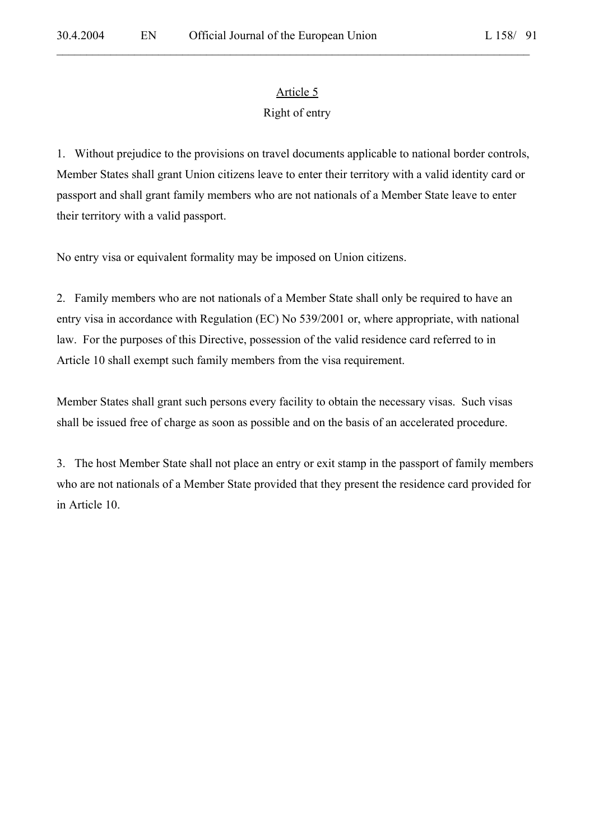# Article 5

 $\mathcal{L}_\mathcal{L} = \mathcal{L}_\mathcal{L} = \mathcal{L}_\mathcal{L} = \mathcal{L}_\mathcal{L} = \mathcal{L}_\mathcal{L} = \mathcal{L}_\mathcal{L} = \mathcal{L}_\mathcal{L} = \mathcal{L}_\mathcal{L} = \mathcal{L}_\mathcal{L} = \mathcal{L}_\mathcal{L} = \mathcal{L}_\mathcal{L} = \mathcal{L}_\mathcal{L} = \mathcal{L}_\mathcal{L} = \mathcal{L}_\mathcal{L} = \mathcal{L}_\mathcal{L} = \mathcal{L}_\mathcal{L} = \mathcal{L}_\mathcal{L}$ 

# Right of entry

1. Without prejudice to the provisions on travel documents applicable to national border controls, Member States shall grant Union citizens leave to enter their territory with a valid identity card or passport and shall grant family members who are not nationals of a Member State leave to enter their territory with a valid passport.

No entry visa or equivalent formality may be imposed on Union citizens.

2. Family members who are not nationals of a Member State shall only be required to have an entry visa in accordance with Regulation (EC) No 539/2001 or, where appropriate, with national law. For the purposes of this Directive, possession of the valid residence card referred to in Article 10 shall exempt such family members from the visa requirement.

Member States shall grant such persons every facility to obtain the necessary visas. Such visas shall be issued free of charge as soon as possible and on the basis of an accelerated procedure.

3. The host Member State shall not place an entry or exit stamp in the passport of family members who are not nationals of a Member State provided that they present the residence card provided for in Article 10.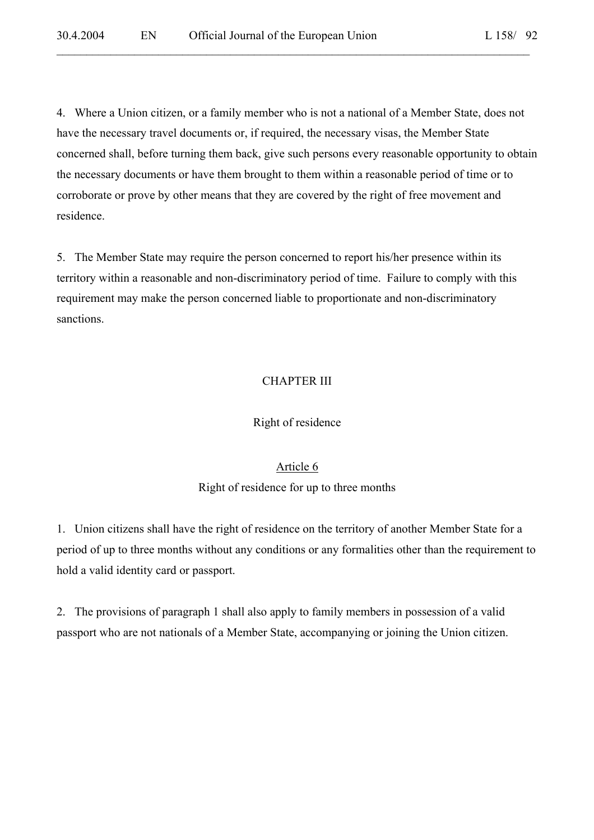4. Where a Union citizen, or a family member who is not a national of a Member State, does not have the necessary travel documents or, if required, the necessary visas, the Member State concerned shall, before turning them back, give such persons every reasonable opportunity to obtain the necessary documents or have them brought to them within a reasonable period of time or to corroborate or prove by other means that they are covered by the right of free movement and residence.

 $\mathcal{L}_\mathcal{L} = \mathcal{L}_\mathcal{L} = \mathcal{L}_\mathcal{L} = \mathcal{L}_\mathcal{L} = \mathcal{L}_\mathcal{L} = \mathcal{L}_\mathcal{L} = \mathcal{L}_\mathcal{L} = \mathcal{L}_\mathcal{L} = \mathcal{L}_\mathcal{L} = \mathcal{L}_\mathcal{L} = \mathcal{L}_\mathcal{L} = \mathcal{L}_\mathcal{L} = \mathcal{L}_\mathcal{L} = \mathcal{L}_\mathcal{L} = \mathcal{L}_\mathcal{L} = \mathcal{L}_\mathcal{L} = \mathcal{L}_\mathcal{L}$ 

5. The Member State may require the person concerned to report his/her presence within its territory within a reasonable and non-discriminatory period of time. Failure to comply with this requirement may make the person concerned liable to proportionate and non-discriminatory sanctions.

#### CHAPTER III

Right of residence

### Article 6

#### Right of residence for up to three months

1. Union citizens shall have the right of residence on the territory of another Member State for a period of up to three months without any conditions or any formalities other than the requirement to hold a valid identity card or passport.

2. The provisions of paragraph 1 shall also apply to family members in possession of a valid passport who are not nationals of a Member State, accompanying or joining the Union citizen.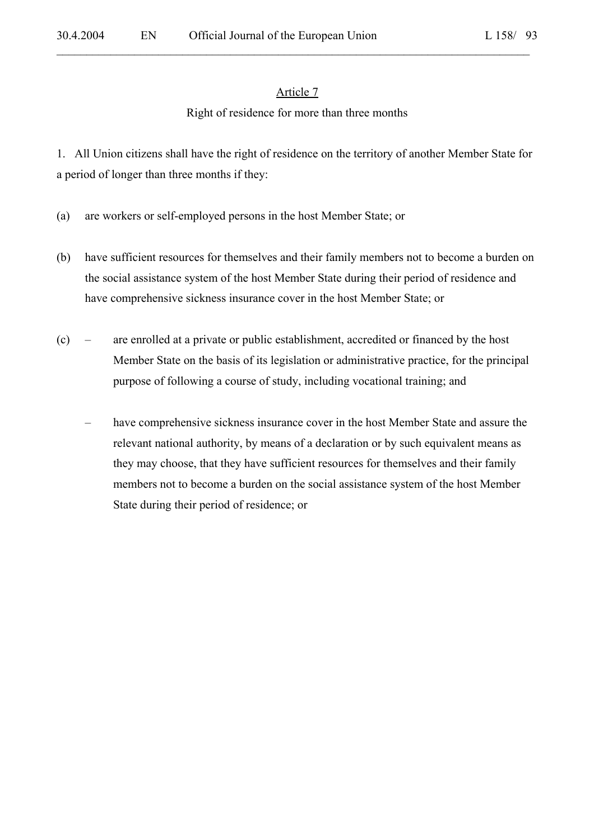### Article 7

 $\mathcal{L}_\mathcal{L} = \mathcal{L}_\mathcal{L} = \mathcal{L}_\mathcal{L} = \mathcal{L}_\mathcal{L} = \mathcal{L}_\mathcal{L} = \mathcal{L}_\mathcal{L} = \mathcal{L}_\mathcal{L} = \mathcal{L}_\mathcal{L} = \mathcal{L}_\mathcal{L} = \mathcal{L}_\mathcal{L} = \mathcal{L}_\mathcal{L} = \mathcal{L}_\mathcal{L} = \mathcal{L}_\mathcal{L} = \mathcal{L}_\mathcal{L} = \mathcal{L}_\mathcal{L} = \mathcal{L}_\mathcal{L} = \mathcal{L}_\mathcal{L}$ 

### Right of residence for more than three months

1. All Union citizens shall have the right of residence on the territory of another Member State for a period of longer than three months if they:

- (a) are workers or self-employed persons in the host Member State; or
- (b) have sufficient resources for themselves and their family members not to become a burden on the social assistance system of the host Member State during their period of residence and have comprehensive sickness insurance cover in the host Member State; or
- (c) are enrolled at a private or public establishment, accredited or financed by the host Member State on the basis of its legislation or administrative practice, for the principal purpose of following a course of study, including vocational training; and
	- have comprehensive sickness insurance cover in the host Member State and assure the relevant national authority, by means of a declaration or by such equivalent means as they may choose, that they have sufficient resources for themselves and their family members not to become a burden on the social assistance system of the host Member State during their period of residence; or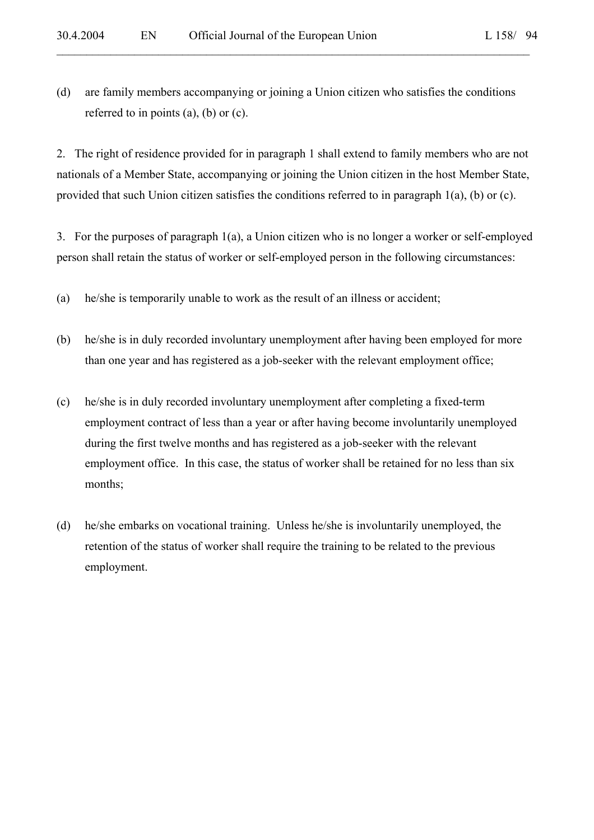(d) are family members accompanying or joining a Union citizen who satisfies the conditions referred to in points (a), (b) or (c).

 $\mathcal{L}_\mathcal{L} = \mathcal{L}_\mathcal{L} = \mathcal{L}_\mathcal{L} = \mathcal{L}_\mathcal{L} = \mathcal{L}_\mathcal{L} = \mathcal{L}_\mathcal{L} = \mathcal{L}_\mathcal{L} = \mathcal{L}_\mathcal{L} = \mathcal{L}_\mathcal{L} = \mathcal{L}_\mathcal{L} = \mathcal{L}_\mathcal{L} = \mathcal{L}_\mathcal{L} = \mathcal{L}_\mathcal{L} = \mathcal{L}_\mathcal{L} = \mathcal{L}_\mathcal{L} = \mathcal{L}_\mathcal{L} = \mathcal{L}_\mathcal{L}$ 

2. The right of residence provided for in paragraph 1 shall extend to family members who are not nationals of a Member State, accompanying or joining the Union citizen in the host Member State, provided that such Union citizen satisfies the conditions referred to in paragraph 1(a), (b) or (c).

3. For the purposes of paragraph 1(a), a Union citizen who is no longer a worker or self-employed person shall retain the status of worker or self-employed person in the following circumstances:

- (a) he/she is temporarily unable to work as the result of an illness or accident;
- (b) he/she is in duly recorded involuntary unemployment after having been employed for more than one year and has registered as a job-seeker with the relevant employment office;
- (c) he/she is in duly recorded involuntary unemployment after completing a fixed-term employment contract of less than a year or after having become involuntarily unemployed during the first twelve months and has registered as a job-seeker with the relevant employment office. In this case, the status of worker shall be retained for no less than six months;
- (d) he/she embarks on vocational training. Unless he/she is involuntarily unemployed, the retention of the status of worker shall require the training to be related to the previous employment.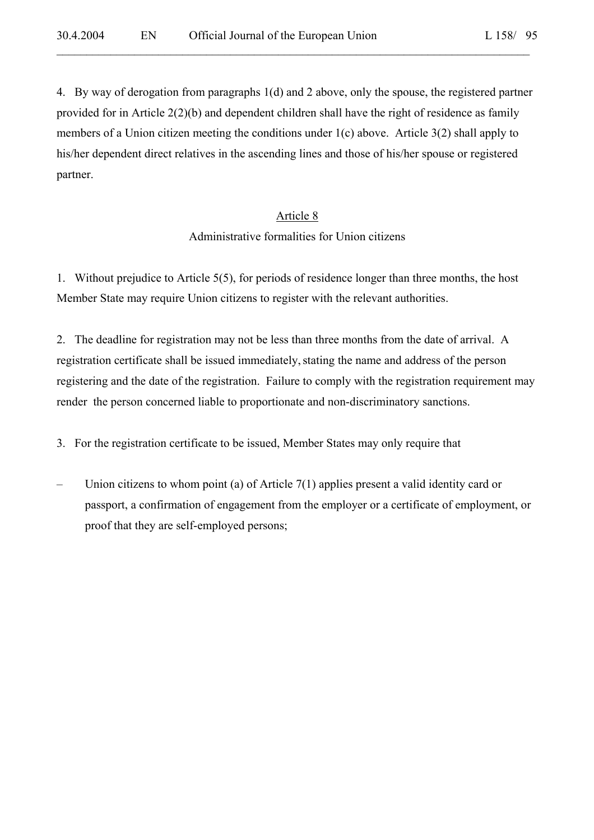4. By way of derogation from paragraphs 1(d) and 2 above, only the spouse, the registered partner provided for in Article 2(2)(b) and dependent children shall have the right of residence as family members of a Union citizen meeting the conditions under 1(c) above. Article 3(2) shall apply to his/her dependent direct relatives in the ascending lines and those of his/her spouse or registered partner.

 $\mathcal{L}_\mathcal{L} = \mathcal{L}_\mathcal{L} = \mathcal{L}_\mathcal{L} = \mathcal{L}_\mathcal{L} = \mathcal{L}_\mathcal{L} = \mathcal{L}_\mathcal{L} = \mathcal{L}_\mathcal{L} = \mathcal{L}_\mathcal{L} = \mathcal{L}_\mathcal{L} = \mathcal{L}_\mathcal{L} = \mathcal{L}_\mathcal{L} = \mathcal{L}_\mathcal{L} = \mathcal{L}_\mathcal{L} = \mathcal{L}_\mathcal{L} = \mathcal{L}_\mathcal{L} = \mathcal{L}_\mathcal{L} = \mathcal{L}_\mathcal{L}$ 

### Article 8

### Administrative formalities for Union citizens

1. Without prejudice to Article 5(5), for periods of residence longer than three months, the host Member State may require Union citizens to register with the relevant authorities.

2. The deadline for registration may not be less than three months from the date of arrival. A registration certificate shall be issued immediately,stating the name and address of the person registering and the date of the registration. Failure to comply with the registration requirement may render the person concerned liable to proportionate and non-discriminatory sanctions.

3. For the registration certificate to be issued, Member States may only require that

– Union citizens to whom point (a) of Article 7(1) applies present a valid identity card or passport, a confirmation of engagement from the employer or a certificate of employment, or proof that they are self-employed persons;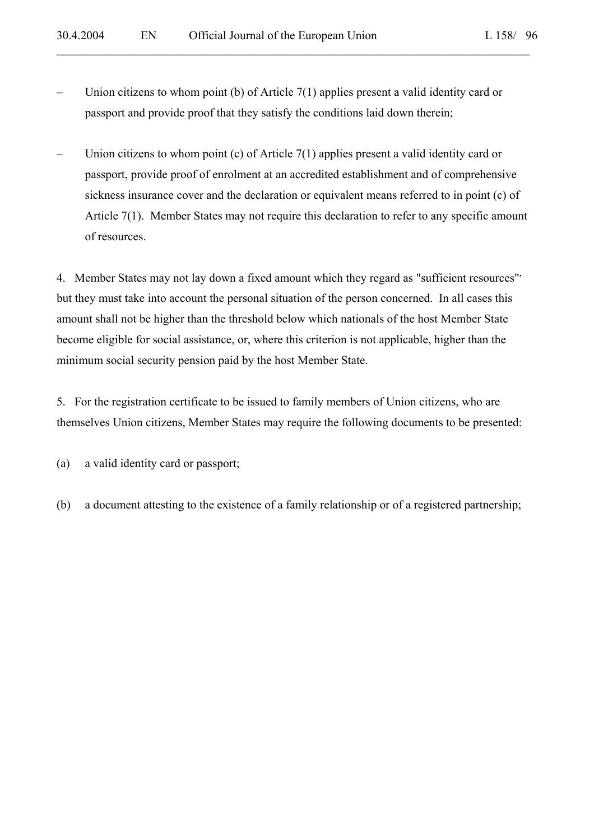– Union citizens to whom point (b) of Article 7(1) applies present a valid identity card or passport and provide proof that they satisfy the conditions laid down therein;

 $\mathcal{L}_\mathcal{L} = \mathcal{L}_\mathcal{L} = \mathcal{L}_\mathcal{L} = \mathcal{L}_\mathcal{L} = \mathcal{L}_\mathcal{L} = \mathcal{L}_\mathcal{L} = \mathcal{L}_\mathcal{L} = \mathcal{L}_\mathcal{L} = \mathcal{L}_\mathcal{L} = \mathcal{L}_\mathcal{L} = \mathcal{L}_\mathcal{L} = \mathcal{L}_\mathcal{L} = \mathcal{L}_\mathcal{L} = \mathcal{L}_\mathcal{L} = \mathcal{L}_\mathcal{L} = \mathcal{L}_\mathcal{L} = \mathcal{L}_\mathcal{L}$ 

– Union citizens to whom point (c) of Article 7(1) applies present a valid identity card or passport, provide proof of enrolment at an accredited establishment and of comprehensive sickness insurance cover and the declaration or equivalent means referred to in point (c) of Article 7(1). Member States may not require this declaration to refer to any specific amount of resources.

4. Member States may not lay down a fixed amount which they regard as "sufficient resources"**,** but they must take into account the personal situation of the person concerned. In all cases this amount shall not be higher than the threshold below which nationals of the host Member State become eligible for social assistance, or, where this criterion is not applicable, higher than the minimum social security pension paid by the host Member State.

5. For the registration certificate to be issued to family members of Union citizens, who are themselves Union citizens, Member States may require the following documents to be presented:

(a) a valid identity card or passport;

(b) a document attesting to the existence of a family relationship or of a registered partnership;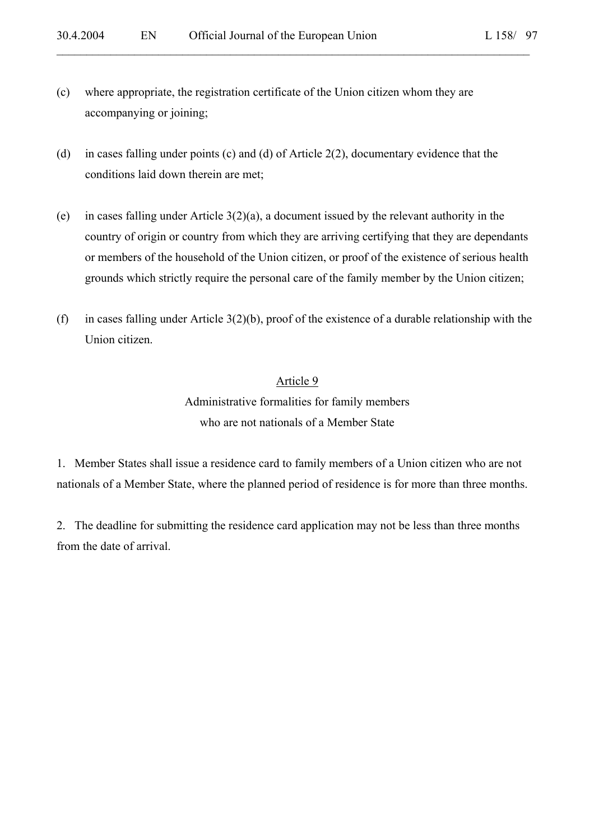- (c) where appropriate, the registration certificate of the Union citizen whom they are accompanying or joining;
- (d) in cases falling under points (c) and (d) of Article 2(2), documentary evidence that the conditions laid down therein are met;

 $\mathcal{L}_\mathcal{L} = \mathcal{L}_\mathcal{L} = \mathcal{L}_\mathcal{L} = \mathcal{L}_\mathcal{L} = \mathcal{L}_\mathcal{L} = \mathcal{L}_\mathcal{L} = \mathcal{L}_\mathcal{L} = \mathcal{L}_\mathcal{L} = \mathcal{L}_\mathcal{L} = \mathcal{L}_\mathcal{L} = \mathcal{L}_\mathcal{L} = \mathcal{L}_\mathcal{L} = \mathcal{L}_\mathcal{L} = \mathcal{L}_\mathcal{L} = \mathcal{L}_\mathcal{L} = \mathcal{L}_\mathcal{L} = \mathcal{L}_\mathcal{L}$ 

- (e) in cases falling under Article 3(2)(a), a document issued by the relevant authority in the country of origin or country from which they are arriving certifying that they are dependants or members of the household of the Union citizen, or proof of the existence of serious health grounds which strictly require the personal care of the family member by the Union citizen;
- (f) in cases falling under Article 3(2)(b), proof of the existence of a durable relationship with the Union citizen.

### Article 9

Administrative formalities for family members who are not nationals of a Member State

1. Member States shall issue a residence card to family members of a Union citizen who are not nationals of a Member State, where the planned period of residence is for more than three months.

2. The deadline for submitting the residence card application may not be less than three months from the date of arrival.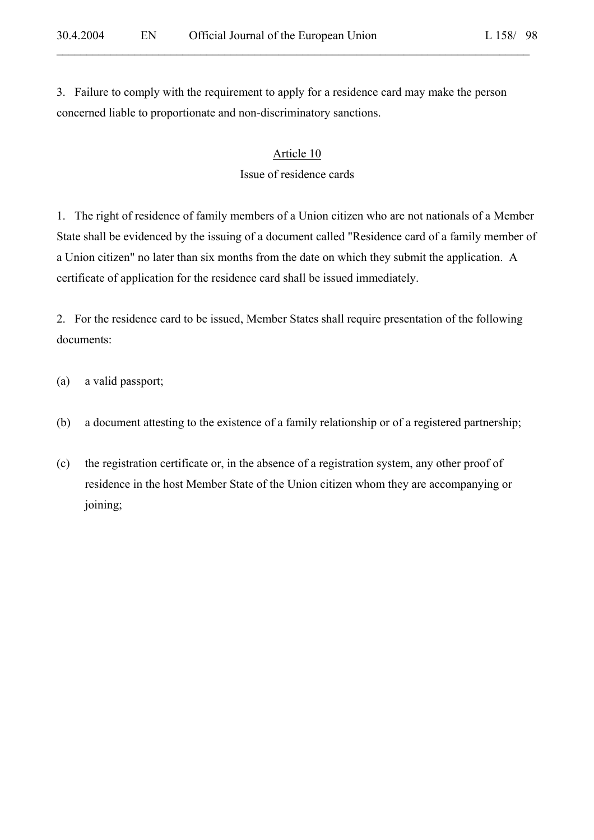3. Failure to comply with the requirement to apply for a residence card may make the person concerned liable to proportionate and non-discriminatory sanctions.

 $\mathcal{L}_\mathcal{L} = \mathcal{L}_\mathcal{L} = \mathcal{L}_\mathcal{L} = \mathcal{L}_\mathcal{L} = \mathcal{L}_\mathcal{L} = \mathcal{L}_\mathcal{L} = \mathcal{L}_\mathcal{L} = \mathcal{L}_\mathcal{L} = \mathcal{L}_\mathcal{L} = \mathcal{L}_\mathcal{L} = \mathcal{L}_\mathcal{L} = \mathcal{L}_\mathcal{L} = \mathcal{L}_\mathcal{L} = \mathcal{L}_\mathcal{L} = \mathcal{L}_\mathcal{L} = \mathcal{L}_\mathcal{L} = \mathcal{L}_\mathcal{L}$ 

### Article 10

### Issue of residence cards

1. The right of residence of family members of a Union citizen who are not nationals of a Member State shall be evidenced by the issuing of a document called "Residence card of a family member of a Union citizen" no later than six months from the date on which they submit the application. A certificate of application for the residence card shall be issued immediately.

2. For the residence card to be issued, Member States shall require presentation of the following documents:

(a) a valid passport;

- (b) a document attesting to the existence of a family relationship or of a registered partnership;
- (c) the registration certificate or, in the absence of a registration system, any other proof of residence in the host Member State of the Union citizen whom they are accompanying or joining;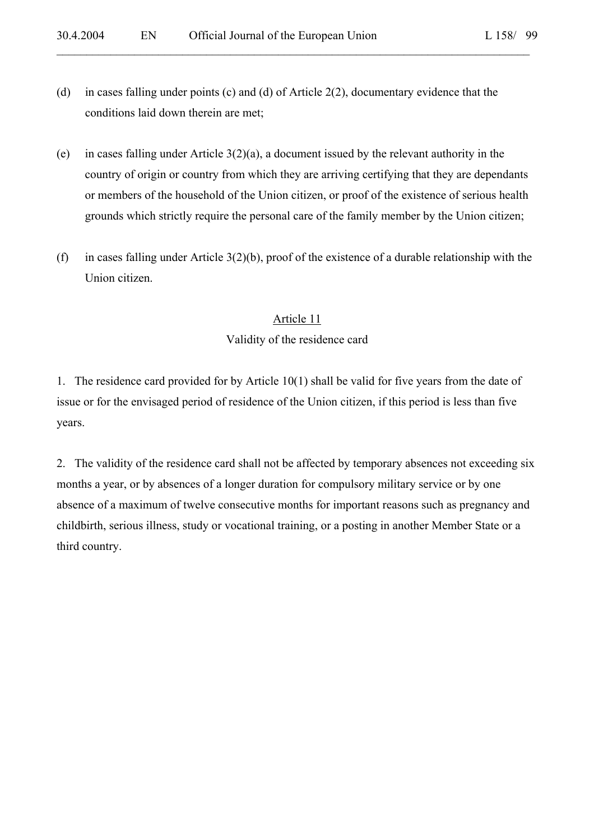(d) in cases falling under points (c) and (d) of Article 2(2), documentary evidence that the conditions laid down therein are met;

 $\mathcal{L}_\mathcal{L} = \mathcal{L}_\mathcal{L} = \mathcal{L}_\mathcal{L} = \mathcal{L}_\mathcal{L} = \mathcal{L}_\mathcal{L} = \mathcal{L}_\mathcal{L} = \mathcal{L}_\mathcal{L} = \mathcal{L}_\mathcal{L} = \mathcal{L}_\mathcal{L} = \mathcal{L}_\mathcal{L} = \mathcal{L}_\mathcal{L} = \mathcal{L}_\mathcal{L} = \mathcal{L}_\mathcal{L} = \mathcal{L}_\mathcal{L} = \mathcal{L}_\mathcal{L} = \mathcal{L}_\mathcal{L} = \mathcal{L}_\mathcal{L}$ 

- (e) in cases falling under Article 3(2)(a), a document issued by the relevant authority in the country of origin or country from which they are arriving certifying that they are dependants or members of the household of the Union citizen, or proof of the existence of serious health grounds which strictly require the personal care of the family member by the Union citizen;
- (f) in cases falling under Article 3(2)(b), proof of the existence of a durable relationship with the Union citizen.

#### Article 11

#### Validity of the residence card

1. The residence card provided for by Article 10(1) shall be valid for five years from the date of issue or for the envisaged period of residence of the Union citizen, if this period is less than five years.

2. The validity of the residence card shall not be affected by temporary absences not exceeding six months a year, or by absences of a longer duration for compulsory military service or by one absence of a maximum of twelve consecutive months for important reasons such as pregnancy and childbirth, serious illness, study or vocational training, or a posting in another Member State or a third country.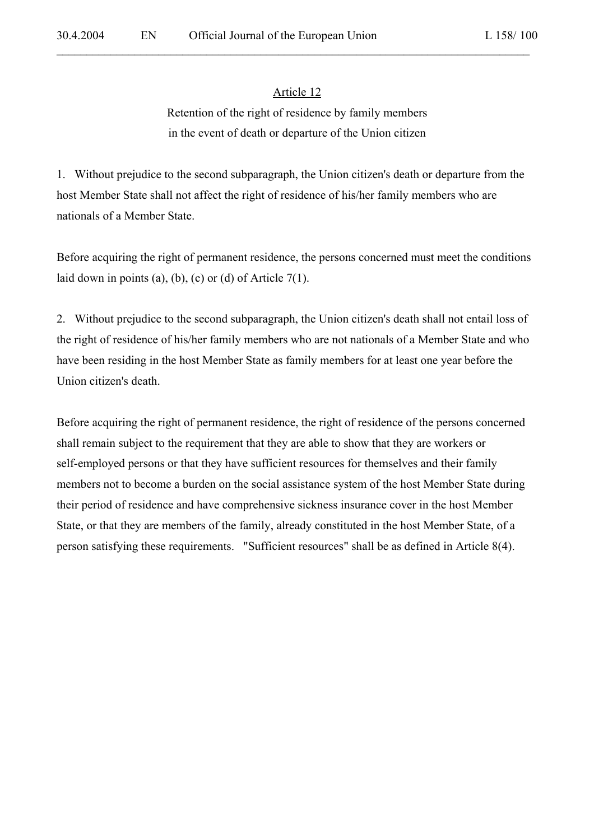### Article 12

 $\mathcal{L}_\mathcal{L} = \mathcal{L}_\mathcal{L} = \mathcal{L}_\mathcal{L} = \mathcal{L}_\mathcal{L} = \mathcal{L}_\mathcal{L} = \mathcal{L}_\mathcal{L} = \mathcal{L}_\mathcal{L} = \mathcal{L}_\mathcal{L} = \mathcal{L}_\mathcal{L} = \mathcal{L}_\mathcal{L} = \mathcal{L}_\mathcal{L} = \mathcal{L}_\mathcal{L} = \mathcal{L}_\mathcal{L} = \mathcal{L}_\mathcal{L} = \mathcal{L}_\mathcal{L} = \mathcal{L}_\mathcal{L} = \mathcal{L}_\mathcal{L}$ 

Retention of the right of residence by family members in the event of death or departure of the Union citizen

1. Without prejudice to the second subparagraph, the Union citizen's death or departure from the host Member State shall not affect the right of residence of his/her family members who are nationals of a Member State.

Before acquiring the right of permanent residence, the persons concerned must meet the conditions laid down in points (a), (b), (c) or (d) of Article  $7(1)$ .

2. Without prejudice to the second subparagraph, the Union citizen's death shall not entail loss of the right of residence of his/her family members who are not nationals of a Member State and who have been residing in the host Member State as family members for at least one year before the Union citizen's death.

Before acquiring the right of permanent residence, the right of residence of the persons concerned shall remain subject to the requirement that they are able to show that they are workers or self-employed persons or that they have sufficient resources for themselves and their family members not to become a burden on the social assistance system of the host Member State during their period of residence and have comprehensive sickness insurance cover in the host Member State, or that they are members of the family, already constituted in the host Member State, of a person satisfying these requirements. "Sufficient resources" shall be as defined in Article 8(4).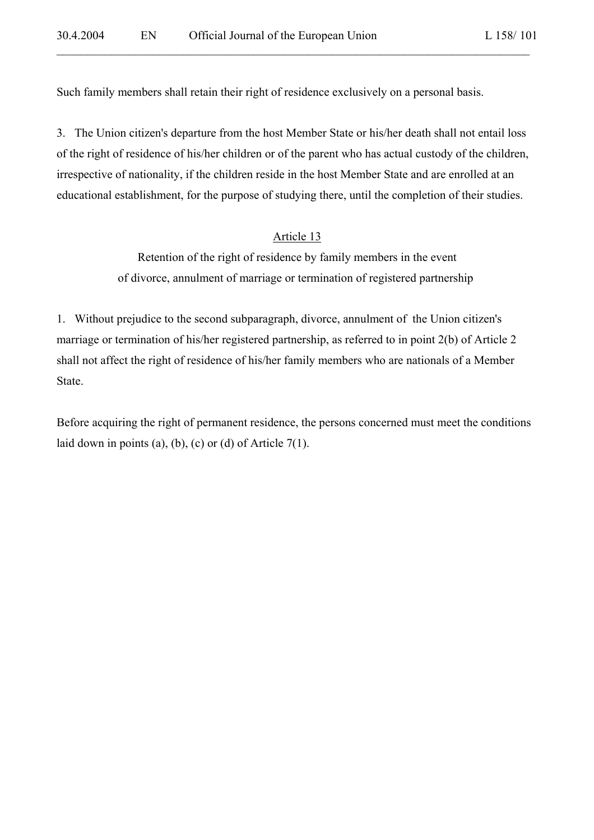Such family members shall retain their right of residence exclusively on a personal basis.

3. The Union citizen's departure from the host Member State or his/her death shall not entail loss of the right of residence of his/her children or of the parent who has actual custody of the children, irrespective of nationality, if the children reside in the host Member State and are enrolled at an educational establishment, for the purpose of studying there, until the completion of their studies.

 $\mathcal{L}_\mathcal{L} = \mathcal{L}_\mathcal{L} = \mathcal{L}_\mathcal{L} = \mathcal{L}_\mathcal{L} = \mathcal{L}_\mathcal{L} = \mathcal{L}_\mathcal{L} = \mathcal{L}_\mathcal{L} = \mathcal{L}_\mathcal{L} = \mathcal{L}_\mathcal{L} = \mathcal{L}_\mathcal{L} = \mathcal{L}_\mathcal{L} = \mathcal{L}_\mathcal{L} = \mathcal{L}_\mathcal{L} = \mathcal{L}_\mathcal{L} = \mathcal{L}_\mathcal{L} = \mathcal{L}_\mathcal{L} = \mathcal{L}_\mathcal{L}$ 

### Article 13

Retention of the right of residence by family members in the event of divorce, annulment of marriage or termination of registered partnership

1. Without prejudice to the second subparagraph, divorce, annulment of the Union citizen's marriage or termination of his/her registered partnership, as referred to in point 2(b) of Article 2 shall not affect the right of residence of his/her family members who are nationals of a Member State.

Before acquiring the right of permanent residence, the persons concerned must meet the conditions laid down in points (a), (b), (c) or (d) of Article  $7(1)$ .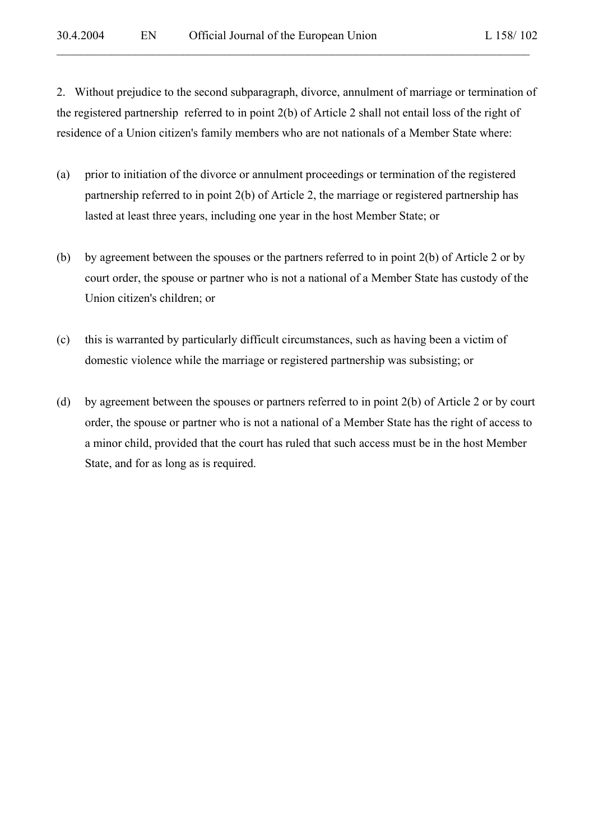2. Without prejudice to the second subparagraph, divorce, annulment of marriage or termination of the registered partnership referred to in point 2(b) of Article 2 shall not entail loss of the right of residence of a Union citizen's family members who are not nationals of a Member State where:

- (a) prior to initiation of the divorce or annulment proceedings or termination of the registered partnership referred to in point 2(b) of Article 2, the marriage or registered partnership has lasted at least three years, including one year in the host Member State; or
- (b) by agreement between the spouses or the partners referred to in point 2(b) of Article 2 or by court order, the spouse or partner who is not a national of a Member State has custody of the Union citizen's children; or
- (c) this is warranted by particularly difficult circumstances, such as having been a victim of domestic violence while the marriage or registered partnership was subsisting; or
- (d) by agreement between the spouses or partners referred to in point 2(b) of Article 2 or by court order, the spouse or partner who is not a national of a Member State has the right of access to a minor child, provided that the court has ruled that such access must be in the host Member State, and for as long as is required.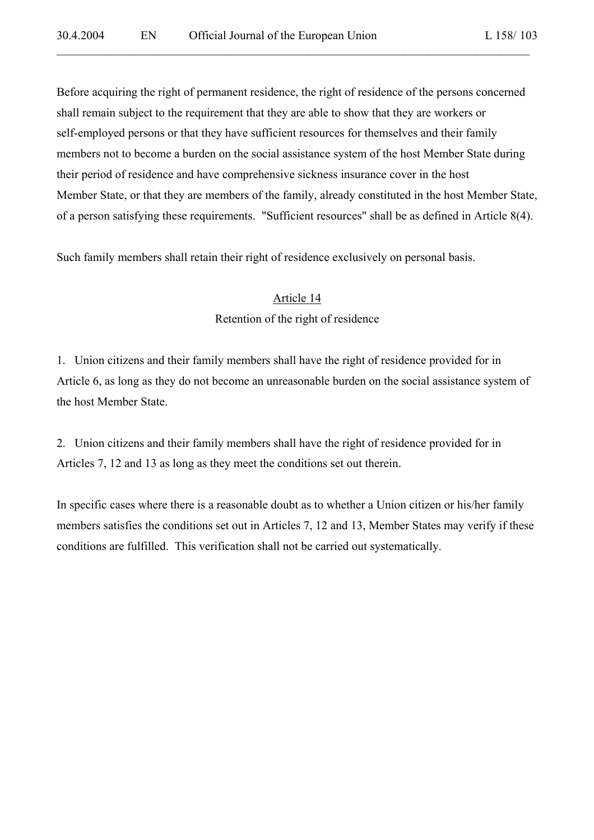Before acquiring the right of permanent residence, the right of residence of the persons concerned shall remain subject to the requirement that they are able to show that they are workers or self-employed persons or that they have sufficient resources for themselves and their family members not to become a burden on the social assistance system of the host Member State during their period of residence and have comprehensive sickness insurance cover in the host Member State, or that they are members of the family, already constituted in the host Member State, of a person satisfying these requirements. "Sufficient resources" shall be as defined in Article 8(4).

 $\mathcal{L}_\mathcal{L} = \mathcal{L}_\mathcal{L} = \mathcal{L}_\mathcal{L} = \mathcal{L}_\mathcal{L} = \mathcal{L}_\mathcal{L} = \mathcal{L}_\mathcal{L} = \mathcal{L}_\mathcal{L} = \mathcal{L}_\mathcal{L} = \mathcal{L}_\mathcal{L} = \mathcal{L}_\mathcal{L} = \mathcal{L}_\mathcal{L} = \mathcal{L}_\mathcal{L} = \mathcal{L}_\mathcal{L} = \mathcal{L}_\mathcal{L} = \mathcal{L}_\mathcal{L} = \mathcal{L}_\mathcal{L} = \mathcal{L}_\mathcal{L}$ 

Such family members shall retain their right of residence exclusively on personal basis.

# Article 14 Retention of the right of residence

1. Union citizens and their family members shall have the right of residence provided for in Article 6, as long as they do not become an unreasonable burden on the social assistance system of the host Member State.

2. Union citizens and their family members shall have the right of residence provided for in Articles 7, 12 and 13 as long as they meet the conditions set out therein.

In specific cases where there is a reasonable doubt as to whether a Union citizen or his/her family members satisfies the conditions set out in Articles 7, 12 and 13, Member States may verify if these conditions are fulfilled. This verification shall not be carried out systematically.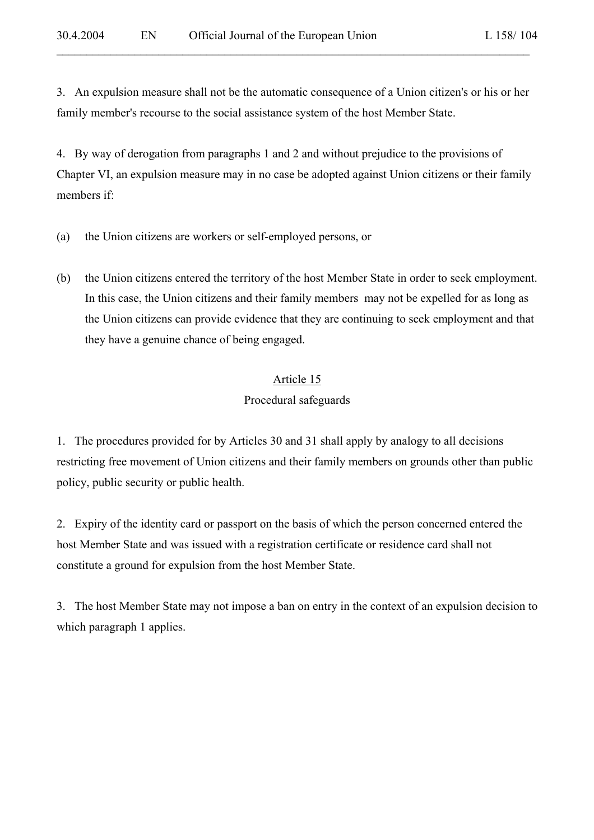3. An expulsion measure shall not be the automatic consequence of a Union citizen's or his or her family member's recourse to the social assistance system of the host Member State.

 $\mathcal{L}_\mathcal{L} = \mathcal{L}_\mathcal{L} = \mathcal{L}_\mathcal{L} = \mathcal{L}_\mathcal{L} = \mathcal{L}_\mathcal{L} = \mathcal{L}_\mathcal{L} = \mathcal{L}_\mathcal{L} = \mathcal{L}_\mathcal{L} = \mathcal{L}_\mathcal{L} = \mathcal{L}_\mathcal{L} = \mathcal{L}_\mathcal{L} = \mathcal{L}_\mathcal{L} = \mathcal{L}_\mathcal{L} = \mathcal{L}_\mathcal{L} = \mathcal{L}_\mathcal{L} = \mathcal{L}_\mathcal{L} = \mathcal{L}_\mathcal{L}$ 

4. By way of derogation from paragraphs 1 and 2 and without prejudice to the provisions of Chapter VI, an expulsion measure may in no case be adopted against Union citizens or their family members if:

- (a) the Union citizens are workers or self-employed persons, or
- (b) the Union citizens entered the territory of the host Member State in order to seek employment. In this case, the Union citizens and their family members may not be expelled for as long as the Union citizens can provide evidence that they are continuing to seek employment and that they have a genuine chance of being engaged.

### Article 15

Procedural safeguards

1. The procedures provided for by Articles 30 and 31 shall apply by analogy to all decisions restricting free movement of Union citizens and their family members on grounds other than public policy, public security or public health.

2. Expiry of the identity card or passport on the basis of which the person concerned entered the host Member State and was issued with a registration certificate or residence card shall not constitute a ground for expulsion from the host Member State.

3. The host Member State may not impose a ban on entry in the context of an expulsion decision to which paragraph 1 applies.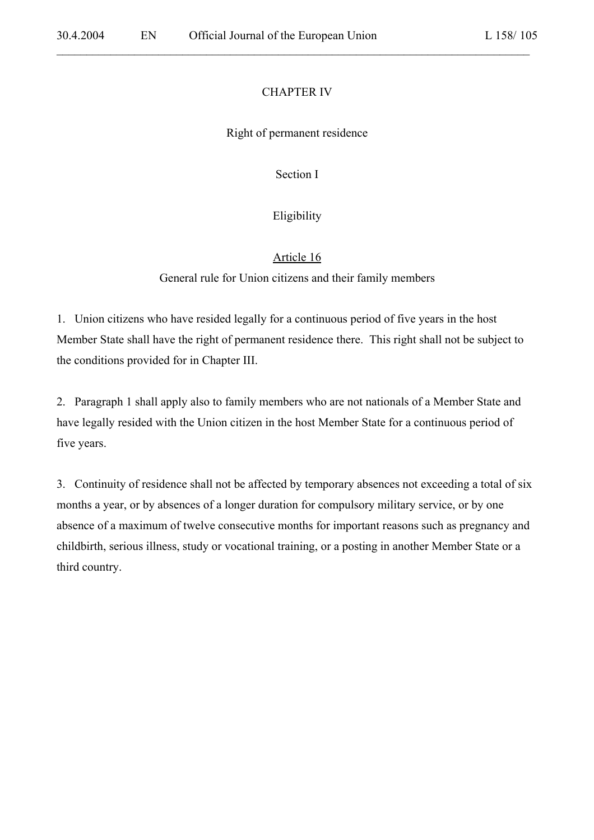### CHAPTER IV

 $\mathcal{L}_\mathcal{L} = \mathcal{L}_\mathcal{L} = \mathcal{L}_\mathcal{L} = \mathcal{L}_\mathcal{L} = \mathcal{L}_\mathcal{L} = \mathcal{L}_\mathcal{L} = \mathcal{L}_\mathcal{L} = \mathcal{L}_\mathcal{L} = \mathcal{L}_\mathcal{L} = \mathcal{L}_\mathcal{L} = \mathcal{L}_\mathcal{L} = \mathcal{L}_\mathcal{L} = \mathcal{L}_\mathcal{L} = \mathcal{L}_\mathcal{L} = \mathcal{L}_\mathcal{L} = \mathcal{L}_\mathcal{L} = \mathcal{L}_\mathcal{L}$ 

Right of permanent residence

Section I

Eligibility

### Article 16

### General rule for Union citizens and their family members

1. Union citizens who have resided legally for a continuous period of five years in the host Member State shall have the right of permanent residence there. This right shall not be subject to the conditions provided for in Chapter III.

2. Paragraph 1 shall apply also to family members who are not nationals of a Member State and have legally resided with the Union citizen in the host Member State for a continuous period of five years.

3. Continuity of residence shall not be affected by temporary absences not exceeding a total of six months a year, or by absences of a longer duration for compulsory military service, or by one absence of a maximum of twelve consecutive months for important reasons such as pregnancy and childbirth, serious illness, study or vocational training, or a posting in another Member State or a third country.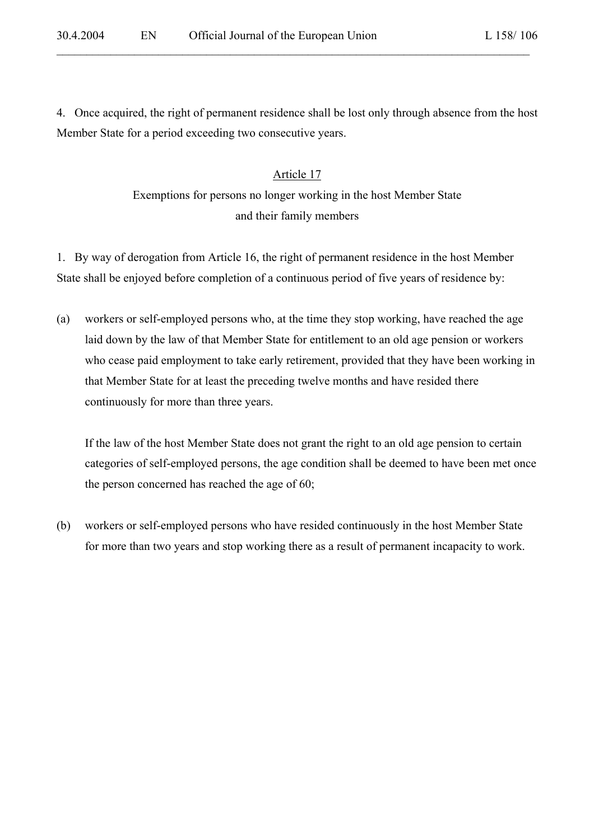4. Once acquired, the right of permanent residence shall be lost only through absence from the host Member State for a period exceeding two consecutive years.

 $\mathcal{L}_\mathcal{L} = \mathcal{L}_\mathcal{L} = \mathcal{L}_\mathcal{L} = \mathcal{L}_\mathcal{L} = \mathcal{L}_\mathcal{L} = \mathcal{L}_\mathcal{L} = \mathcal{L}_\mathcal{L} = \mathcal{L}_\mathcal{L} = \mathcal{L}_\mathcal{L} = \mathcal{L}_\mathcal{L} = \mathcal{L}_\mathcal{L} = \mathcal{L}_\mathcal{L} = \mathcal{L}_\mathcal{L} = \mathcal{L}_\mathcal{L} = \mathcal{L}_\mathcal{L} = \mathcal{L}_\mathcal{L} = \mathcal{L}_\mathcal{L}$ 

# Article 17 Exemptions for persons no longer working in the host Member State and their family members

1. By way of derogation from Article 16, the right of permanent residence in the host Member State shall be enjoyed before completion of a continuous period of five years of residence by:

(a) workers or self-employed persons who, at the time they stop working, have reached the age laid down by the law of that Member State for entitlement to an old age pension or workers who cease paid employment to take early retirement, provided that they have been working in that Member State for at least the preceding twelve months and have resided there continuously for more than three years.

If the law of the host Member State does not grant the right to an old age pension to certain categories of self-employed persons, the age condition shall be deemed to have been met once the person concerned has reached the age of 60;

(b) workers or self-employed persons who have resided continuously in the host Member State for more than two years and stop working there as a result of permanent incapacity to work.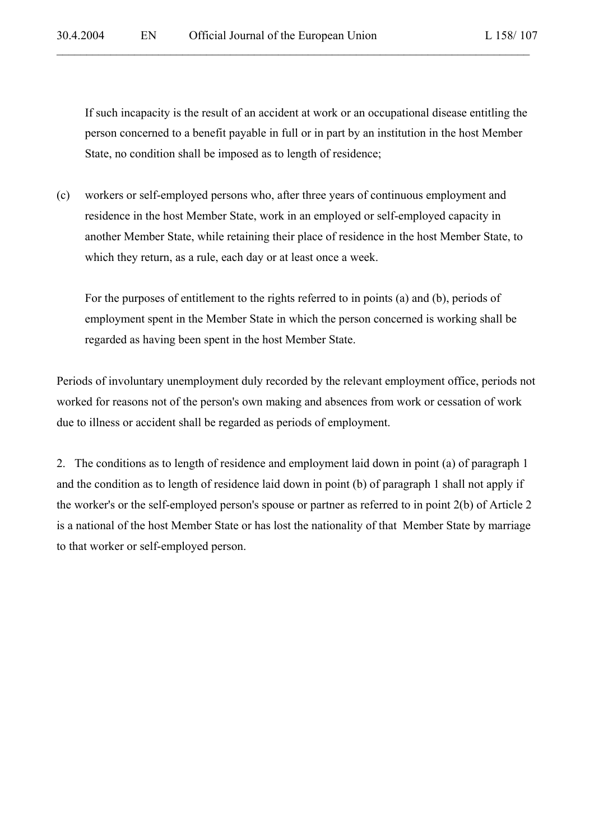If such incapacity is the result of an accident at work or an occupational disease entitling the person concerned to a benefit payable in full or in part by an institution in the host Member State, no condition shall be imposed as to length of residence;

 $\mathcal{L}_\mathcal{L} = \mathcal{L}_\mathcal{L} = \mathcal{L}_\mathcal{L} = \mathcal{L}_\mathcal{L} = \mathcal{L}_\mathcal{L} = \mathcal{L}_\mathcal{L} = \mathcal{L}_\mathcal{L} = \mathcal{L}_\mathcal{L} = \mathcal{L}_\mathcal{L} = \mathcal{L}_\mathcal{L} = \mathcal{L}_\mathcal{L} = \mathcal{L}_\mathcal{L} = \mathcal{L}_\mathcal{L} = \mathcal{L}_\mathcal{L} = \mathcal{L}_\mathcal{L} = \mathcal{L}_\mathcal{L} = \mathcal{L}_\mathcal{L}$ 

(c) workers or self-employed persons who, after three years of continuous employment and residence in the host Member State, work in an employed or self-employed capacity in another Member State, while retaining their place of residence in the host Member State, to which they return, as a rule, each day or at least once a week.

For the purposes of entitlement to the rights referred to in points (a) and (b), periods of employment spent in the Member State in which the person concerned is working shall be regarded as having been spent in the host Member State.

Periods of involuntary unemployment duly recorded by the relevant employment office, periods not worked for reasons not of the person's own making and absences from work or cessation of work due to illness or accident shall be regarded as periods of employment.

2. The conditions as to length of residence and employment laid down in point (a) of paragraph 1 and the condition as to length of residence laid down in point (b) of paragraph 1 shall not apply if the worker's or the self-employed person's spouse or partner as referred to in point 2(b) of Article 2 is a national of the host Member State or has lost the nationality of that Member State by marriage to that worker or self-employed person.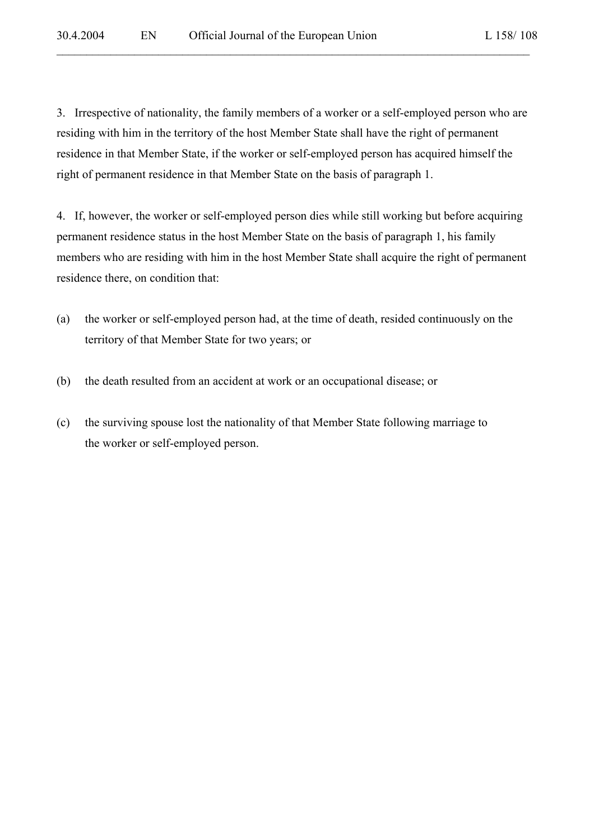3. Irrespective of nationality, the family members of a worker or a self-employed person who are residing with him in the territory of the host Member State shall have the right of permanent residence in that Member State, if the worker or self-employed person has acquired himself the right of permanent residence in that Member State on the basis of paragraph 1.

 $\mathcal{L}_\mathcal{L} = \mathcal{L}_\mathcal{L} = \mathcal{L}_\mathcal{L} = \mathcal{L}_\mathcal{L} = \mathcal{L}_\mathcal{L} = \mathcal{L}_\mathcal{L} = \mathcal{L}_\mathcal{L} = \mathcal{L}_\mathcal{L} = \mathcal{L}_\mathcal{L} = \mathcal{L}_\mathcal{L} = \mathcal{L}_\mathcal{L} = \mathcal{L}_\mathcal{L} = \mathcal{L}_\mathcal{L} = \mathcal{L}_\mathcal{L} = \mathcal{L}_\mathcal{L} = \mathcal{L}_\mathcal{L} = \mathcal{L}_\mathcal{L}$ 

4. If, however, the worker or self-employed person dies while still working but before acquiring permanent residence status in the host Member State on the basis of paragraph 1, his family members who are residing with him in the host Member State shall acquire the right of permanent residence there, on condition that:

- (a) the worker or self-employed person had, at the time of death, resided continuously on the territory of that Member State for two years; or
- (b) the death resulted from an accident at work or an occupational disease; or
- (c) the surviving spouse lost the nationality of that Member State following marriage to the worker or self-employed person.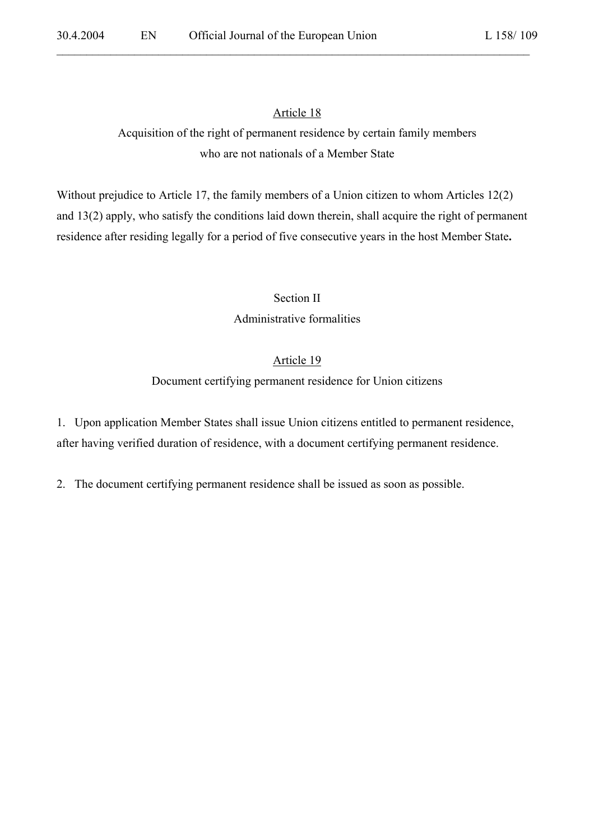# Article 18

 $\mathcal{L}_\mathcal{L} = \mathcal{L}_\mathcal{L} = \mathcal{L}_\mathcal{L} = \mathcal{L}_\mathcal{L} = \mathcal{L}_\mathcal{L} = \mathcal{L}_\mathcal{L} = \mathcal{L}_\mathcal{L} = \mathcal{L}_\mathcal{L} = \mathcal{L}_\mathcal{L} = \mathcal{L}_\mathcal{L} = \mathcal{L}_\mathcal{L} = \mathcal{L}_\mathcal{L} = \mathcal{L}_\mathcal{L} = \mathcal{L}_\mathcal{L} = \mathcal{L}_\mathcal{L} = \mathcal{L}_\mathcal{L} = \mathcal{L}_\mathcal{L}$ 

Acquisition of the right of permanent residence by certain family members who are not nationals of a Member State

Without prejudice to Article 17, the family members of a Union citizen to whom Articles 12(2) and 13(2) apply, who satisfy the conditions laid down therein, shall acquire the right of permanent residence after residing legally for a period of five consecutive years in the host Member State**.**

# Section II Administrative formalities

# Article 19

Document certifying permanent residence for Union citizens

1. Upon application Member States shall issue Union citizens entitled to permanent residence, after having verified duration of residence, with a document certifying permanent residence.

2. The document certifying permanent residence shall be issued as soon as possible.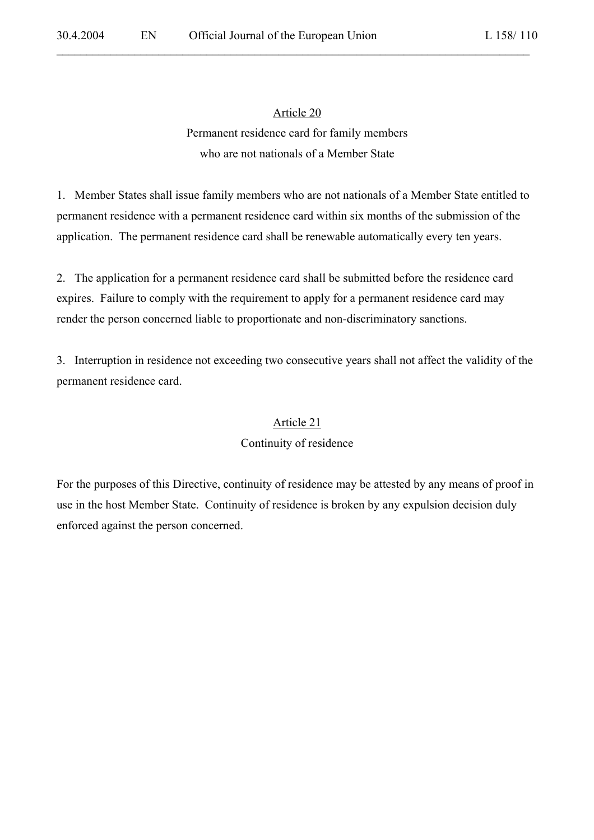Article 20 Permanent residence card for family members who are not nationals of a Member State

 $\mathcal{L}_\mathcal{L} = \mathcal{L}_\mathcal{L} = \mathcal{L}_\mathcal{L} = \mathcal{L}_\mathcal{L} = \mathcal{L}_\mathcal{L} = \mathcal{L}_\mathcal{L} = \mathcal{L}_\mathcal{L} = \mathcal{L}_\mathcal{L} = \mathcal{L}_\mathcal{L} = \mathcal{L}_\mathcal{L} = \mathcal{L}_\mathcal{L} = \mathcal{L}_\mathcal{L} = \mathcal{L}_\mathcal{L} = \mathcal{L}_\mathcal{L} = \mathcal{L}_\mathcal{L} = \mathcal{L}_\mathcal{L} = \mathcal{L}_\mathcal{L}$ 

1. Member States shall issue family members who are not nationals of a Member State entitled to permanent residence with a permanent residence card within six months of the submission of the application. The permanent residence card shall be renewable automatically every ten years.

2. The application for a permanent residence card shall be submitted before the residence card expires. Failure to comply with the requirement to apply for a permanent residence card may render the person concerned liable to proportionate and non-discriminatory sanctions.

3. Interruption in residence not exceeding two consecutive years shall not affect the validity of the permanent residence card.

# Article 21

### Continuity of residence

For the purposes of this Directive, continuity of residence may be attested by any means of proof in use in the host Member State. Continuity of residence is broken by any expulsion decision duly enforced against the person concerned.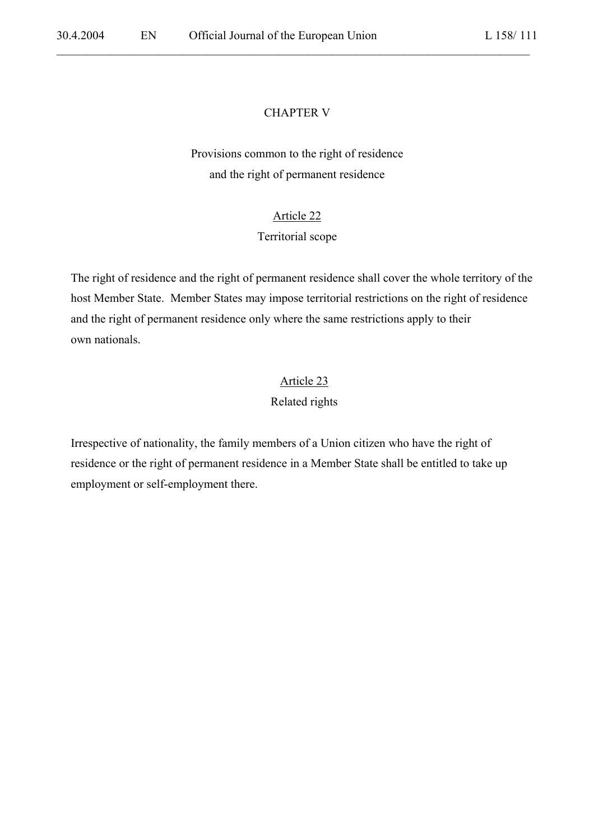# CHAPTER V

 $\mathcal{L}_\mathcal{L} = \mathcal{L}_\mathcal{L} = \mathcal{L}_\mathcal{L} = \mathcal{L}_\mathcal{L} = \mathcal{L}_\mathcal{L} = \mathcal{L}_\mathcal{L} = \mathcal{L}_\mathcal{L} = \mathcal{L}_\mathcal{L} = \mathcal{L}_\mathcal{L} = \mathcal{L}_\mathcal{L} = \mathcal{L}_\mathcal{L} = \mathcal{L}_\mathcal{L} = \mathcal{L}_\mathcal{L} = \mathcal{L}_\mathcal{L} = \mathcal{L}_\mathcal{L} = \mathcal{L}_\mathcal{L} = \mathcal{L}_\mathcal{L}$ 

Provisions common to the right of residence and the right of permanent residence

### Article 22

### Territorial scope

The right of residence and the right of permanent residence shall cover the whole territory of the host Member State. Member States may impose territorial restrictions on the right of residence and the right of permanent residence only where the same restrictions apply to their own nationals.

### Article 23

### Related rights

Irrespective of nationality, the family members of a Union citizen who have the right of residence or the right of permanent residence in a Member State shall be entitled to take up employment or self-employment there.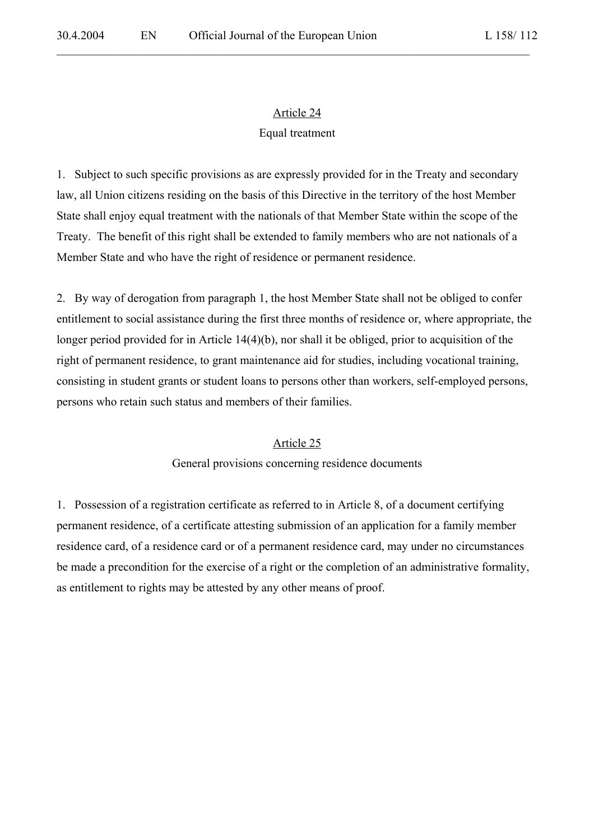# Article 24

 $\mathcal{L}_\mathcal{L} = \mathcal{L}_\mathcal{L} = \mathcal{L}_\mathcal{L} = \mathcal{L}_\mathcal{L} = \mathcal{L}_\mathcal{L} = \mathcal{L}_\mathcal{L} = \mathcal{L}_\mathcal{L} = \mathcal{L}_\mathcal{L} = \mathcal{L}_\mathcal{L} = \mathcal{L}_\mathcal{L} = \mathcal{L}_\mathcal{L} = \mathcal{L}_\mathcal{L} = \mathcal{L}_\mathcal{L} = \mathcal{L}_\mathcal{L} = \mathcal{L}_\mathcal{L} = \mathcal{L}_\mathcal{L} = \mathcal{L}_\mathcal{L}$ 

# Equal treatment

1. Subject to such specific provisions as are expressly provided for in the Treaty and secondary law, all Union citizens residing on the basis of this Directive in the territory of the host Member State shall enjoy equal treatment with the nationals of that Member State within the scope of the Treaty. The benefit of this right shall be extended to family members who are not nationals of a Member State and who have the right of residence or permanent residence.

2. By way of derogation from paragraph 1, the host Member State shall not be obliged to confer entitlement to social assistance during the first three months of residence or, where appropriate, the longer period provided for in Article 14(4)(b), nor shall it be obliged, prior to acquisition of the right of permanent residence, to grant maintenance aid for studies, including vocational training, consisting in student grants or student loans to persons other than workers, self-employed persons, persons who retain such status and members of their families.

### Article 25

### General provisions concerning residence documents

1. Possession of a registration certificate as referred to in Article 8, of a document certifying permanent residence, of a certificate attesting submission of an application for a family member residence card, of a residence card or of a permanent residence card, may under no circumstances be made a precondition for the exercise of a right or the completion of an administrative formality, as entitlement to rights may be attested by any other means of proof.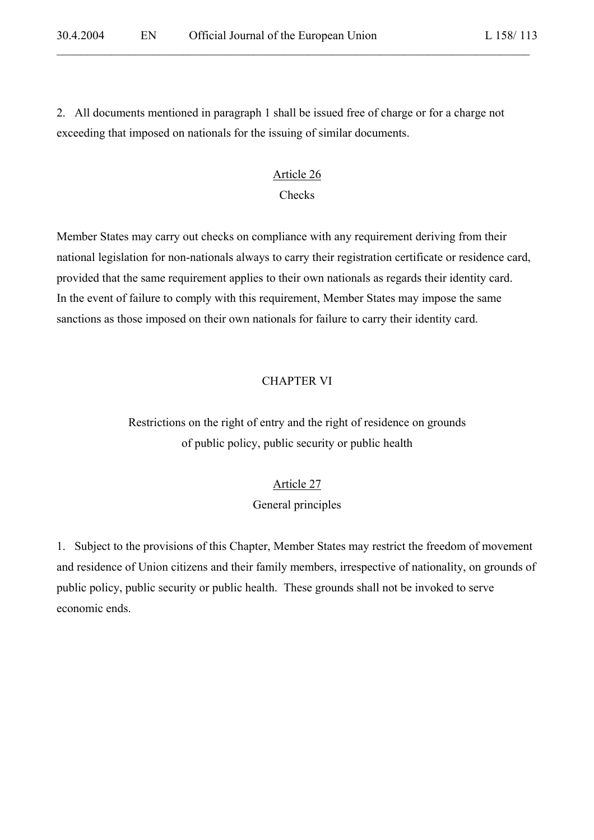2. All documents mentioned in paragraph 1 shall be issued free of charge or for a charge not exceeding that imposed on nationals for the issuing of similar documents.

 $\mathcal{L}_\mathcal{L} = \mathcal{L}_\mathcal{L} = \mathcal{L}_\mathcal{L} = \mathcal{L}_\mathcal{L} = \mathcal{L}_\mathcal{L} = \mathcal{L}_\mathcal{L} = \mathcal{L}_\mathcal{L} = \mathcal{L}_\mathcal{L} = \mathcal{L}_\mathcal{L} = \mathcal{L}_\mathcal{L} = \mathcal{L}_\mathcal{L} = \mathcal{L}_\mathcal{L} = \mathcal{L}_\mathcal{L} = \mathcal{L}_\mathcal{L} = \mathcal{L}_\mathcal{L} = \mathcal{L}_\mathcal{L} = \mathcal{L}_\mathcal{L}$ 

# Article 26 Checks

Member States may carry out checks on compliance with any requirement deriving from their national legislation for non-nationals always to carry their registration certificate or residence card, provided that the same requirement applies to their own nationals as regards their identity card. In the event of failure to comply with this requirement, Member States may impose the same sanctions as those imposed on their own nationals for failure to carry their identity card.

# CHAPTER VI

# Restrictions on the right of entry and the right of residence on grounds of public policy, public security or public health

# Article 27

# General principles

1. Subject to the provisions of this Chapter, Member States may restrict the freedom of movement and residence of Union citizens and their family members, irrespective of nationality, on grounds of public policy, public security or public health. These grounds shall not be invoked to serve economic ends.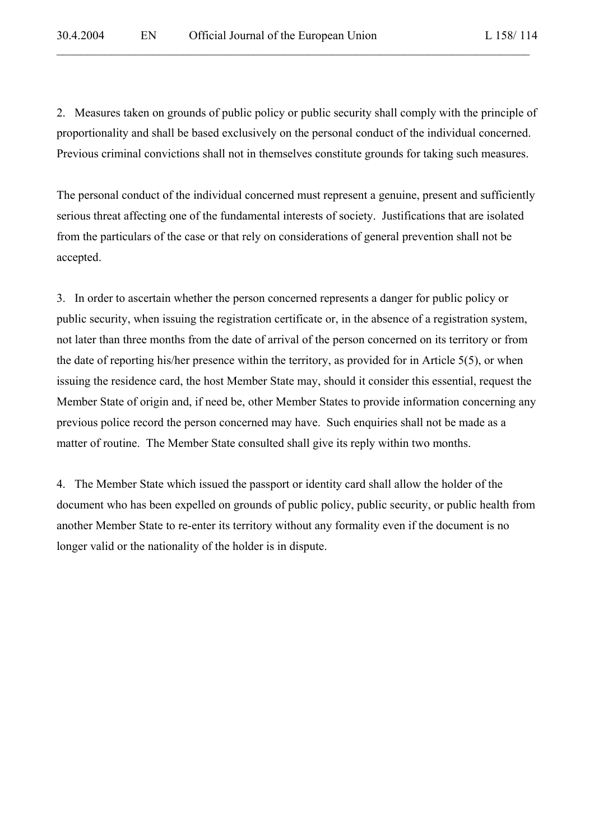2. Measures taken on grounds of public policy or public security shall comply with the principle of proportionality and shall be based exclusively on the personal conduct of the individual concerned. Previous criminal convictions shall not in themselves constitute grounds for taking such measures.

 $\mathcal{L}_\mathcal{L} = \mathcal{L}_\mathcal{L} = \mathcal{L}_\mathcal{L} = \mathcal{L}_\mathcal{L} = \mathcal{L}_\mathcal{L} = \mathcal{L}_\mathcal{L} = \mathcal{L}_\mathcal{L} = \mathcal{L}_\mathcal{L} = \mathcal{L}_\mathcal{L} = \mathcal{L}_\mathcal{L} = \mathcal{L}_\mathcal{L} = \mathcal{L}_\mathcal{L} = \mathcal{L}_\mathcal{L} = \mathcal{L}_\mathcal{L} = \mathcal{L}_\mathcal{L} = \mathcal{L}_\mathcal{L} = \mathcal{L}_\mathcal{L}$ 

The personal conduct of the individual concerned must represent a genuine, present and sufficiently serious threat affecting one of the fundamental interests of society. Justifications that are isolated from the particulars of the case or that rely on considerations of general prevention shall not be accepted.

3. In order to ascertain whether the person concerned represents a danger for public policy or public security, when issuing the registration certificate or, in the absence of a registration system, not later than three months from the date of arrival of the person concerned on its territory or from the date of reporting his/her presence within the territory, as provided for in Article 5(5), or when issuing the residence card, the host Member State may, should it consider this essential, request the Member State of origin and, if need be, other Member States to provide information concerning any previous police record the person concerned may have. Such enquiries shall not be made as a matter of routine. The Member State consulted shall give its reply within two months.

4. The Member State which issued the passport or identity card shall allow the holder of the document who has been expelled on grounds of public policy, public security, or public health from another Member State to re-enter its territory without any formality even if the document is no longer valid or the nationality of the holder is in dispute.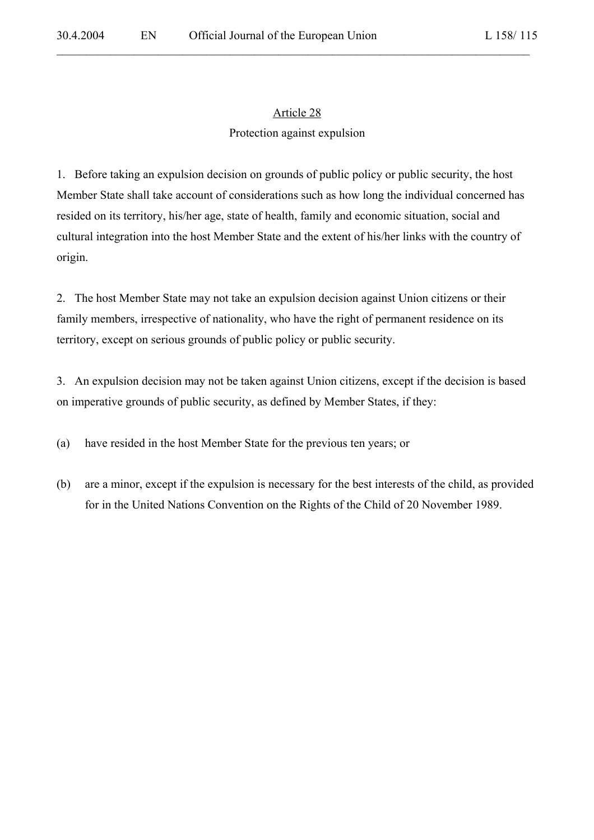# Article 28

 $\mathcal{L}_\mathcal{L} = \mathcal{L}_\mathcal{L} = \mathcal{L}_\mathcal{L} = \mathcal{L}_\mathcal{L} = \mathcal{L}_\mathcal{L} = \mathcal{L}_\mathcal{L} = \mathcal{L}_\mathcal{L} = \mathcal{L}_\mathcal{L} = \mathcal{L}_\mathcal{L} = \mathcal{L}_\mathcal{L} = \mathcal{L}_\mathcal{L} = \mathcal{L}_\mathcal{L} = \mathcal{L}_\mathcal{L} = \mathcal{L}_\mathcal{L} = \mathcal{L}_\mathcal{L} = \mathcal{L}_\mathcal{L} = \mathcal{L}_\mathcal{L}$ 

### Protection against expulsion

1. Before taking an expulsion decision on grounds of public policy or public security, the host Member State shall take account of considerations such as how long the individual concerned has resided on its territory, his/her age, state of health, family and economic situation, social and cultural integration into the host Member State and the extent of his/her links with the country of origin.

2. The host Member State may not take an expulsion decision against Union citizens or their family members, irrespective of nationality, who have the right of permanent residence on its territory, except on serious grounds of public policy or public security.

3. An expulsion decision may not be taken against Union citizens, except if the decision is based on imperative grounds of public security, as defined by Member States, if they:

(a) have resided in the host Member State for the previous ten years; or

(b) are a minor, except if the expulsion is necessary for the best interests of the child, as provided for in the United Nations Convention on the Rights of the Child of 20 November 1989.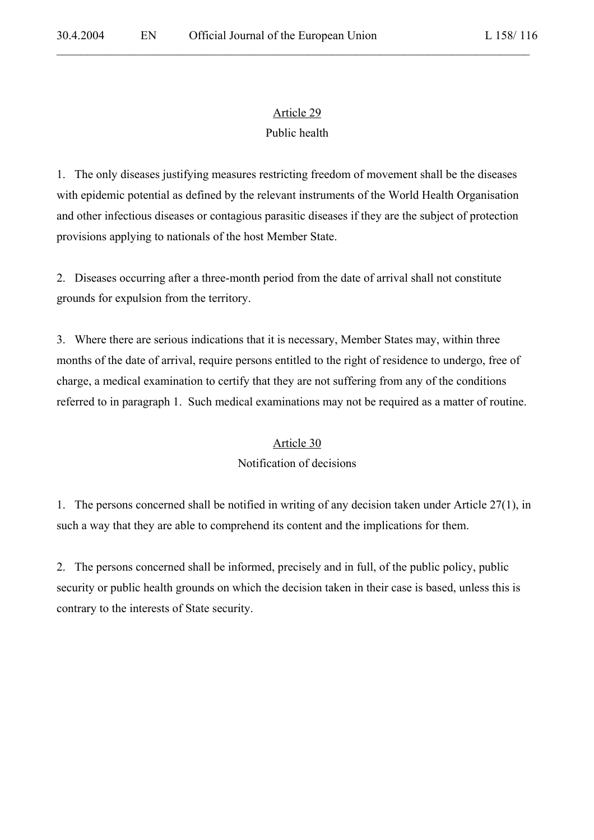# Article 29

 $\mathcal{L}_\mathcal{L} = \mathcal{L}_\mathcal{L} = \mathcal{L}_\mathcal{L} = \mathcal{L}_\mathcal{L} = \mathcal{L}_\mathcal{L} = \mathcal{L}_\mathcal{L} = \mathcal{L}_\mathcal{L} = \mathcal{L}_\mathcal{L} = \mathcal{L}_\mathcal{L} = \mathcal{L}_\mathcal{L} = \mathcal{L}_\mathcal{L} = \mathcal{L}_\mathcal{L} = \mathcal{L}_\mathcal{L} = \mathcal{L}_\mathcal{L} = \mathcal{L}_\mathcal{L} = \mathcal{L}_\mathcal{L} = \mathcal{L}_\mathcal{L}$ 

# Public health

1. The only diseases justifying measures restricting freedom of movement shall be the diseases with epidemic potential as defined by the relevant instruments of the World Health Organisation and other infectious diseases or contagious parasitic diseases if they are the subject of protection provisions applying to nationals of the host Member State.

2. Diseases occurring after a three-month period from the date of arrival shall not constitute grounds for expulsion from the territory.

3. Where there are serious indications that it is necessary, Member States may, within three months of the date of arrival, require persons entitled to the right of residence to undergo, free of charge, a medical examination to certify that they are not suffering from any of the conditions referred to in paragraph 1. Such medical examinations may not be required as a matter of routine.

### Article 30

### Notification of decisions

1. The persons concerned shall be notified in writing of any decision taken under Article 27(1), in such a way that they are able to comprehend its content and the implications for them.

2. The persons concerned shall be informed, precisely and in full, of the public policy, public security or public health grounds on which the decision taken in their case is based, unless this is contrary to the interests of State security.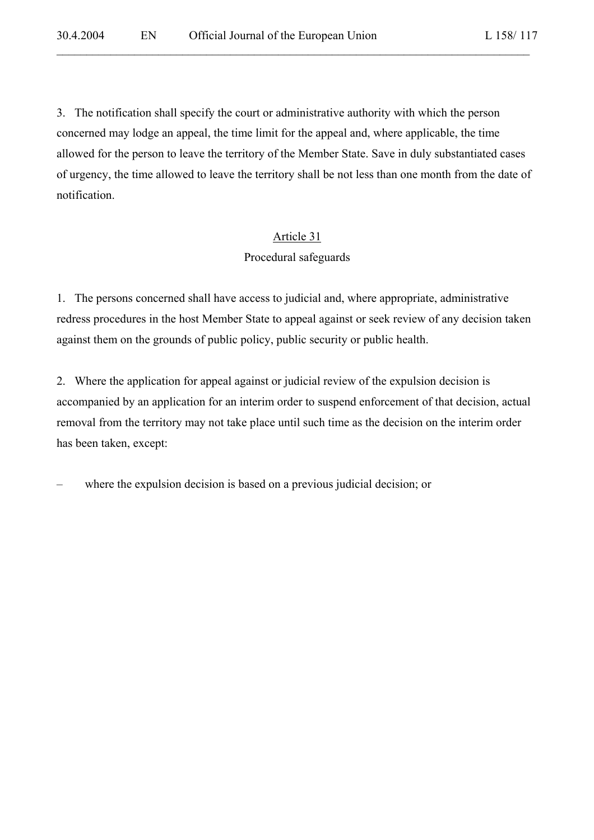3. The notification shall specify the court or administrative authority with which the person concerned may lodge an appeal, the time limit for the appeal and, where applicable, the time allowed for the person to leave the territory of the Member State. Save in duly substantiated cases of urgency, the time allowed to leave the territory shall be not less than one month from the date of notification.

 $\mathcal{L}_\mathcal{L} = \mathcal{L}_\mathcal{L} = \mathcal{L}_\mathcal{L} = \mathcal{L}_\mathcal{L} = \mathcal{L}_\mathcal{L} = \mathcal{L}_\mathcal{L} = \mathcal{L}_\mathcal{L} = \mathcal{L}_\mathcal{L} = \mathcal{L}_\mathcal{L} = \mathcal{L}_\mathcal{L} = \mathcal{L}_\mathcal{L} = \mathcal{L}_\mathcal{L} = \mathcal{L}_\mathcal{L} = \mathcal{L}_\mathcal{L} = \mathcal{L}_\mathcal{L} = \mathcal{L}_\mathcal{L} = \mathcal{L}_\mathcal{L}$ 

### Article 31

### Procedural safeguards

1. The persons concerned shall have access to judicial and, where appropriate, administrative redress procedures in the host Member State to appeal against or seek review of any decision taken against them on the grounds of public policy, public security or public health.

2. Where the application for appeal against or judicial review of the expulsion decision is accompanied by an application for an interim order to suspend enforcement of that decision, actual removal from the territory may not take place until such time as the decision on the interim order has been taken, except:

where the expulsion decision is based on a previous judicial decision; or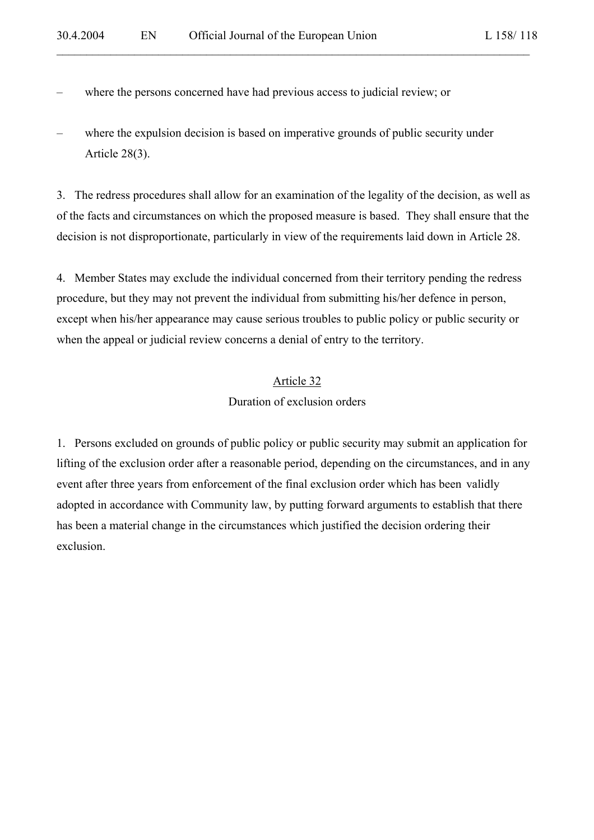- where the persons concerned have had previous access to judicial review; or
- where the expulsion decision is based on imperative grounds of public security under Article 28(3).

3. The redress procedures shall allow for an examination of the legality of the decision, as well as of the facts and circumstances on which the proposed measure is based. They shall ensure that the decision is not disproportionate, particularly in view of the requirements laid down in Article 28.

 $\mathcal{L}_\mathcal{L} = \mathcal{L}_\mathcal{L} = \mathcal{L}_\mathcal{L} = \mathcal{L}_\mathcal{L} = \mathcal{L}_\mathcal{L} = \mathcal{L}_\mathcal{L} = \mathcal{L}_\mathcal{L} = \mathcal{L}_\mathcal{L} = \mathcal{L}_\mathcal{L} = \mathcal{L}_\mathcal{L} = \mathcal{L}_\mathcal{L} = \mathcal{L}_\mathcal{L} = \mathcal{L}_\mathcal{L} = \mathcal{L}_\mathcal{L} = \mathcal{L}_\mathcal{L} = \mathcal{L}_\mathcal{L} = \mathcal{L}_\mathcal{L}$ 

4. Member States may exclude the individual concerned from their territory pending the redress procedure, but they may not prevent the individual from submitting his/her defence in person, except when his/her appearance may cause serious troubles to public policy or public security or when the appeal or judicial review concerns a denial of entry to the territory.

#### Article 32

### Duration of exclusion orders

1. Persons excluded on grounds of public policy or public security may submit an application for lifting of the exclusion order after a reasonable period, depending on the circumstances, and in any event after three years from enforcement of the final exclusion order which has been validly adopted in accordance with Community law, by putting forward arguments to establish that there has been a material change in the circumstances which justified the decision ordering their exclusion.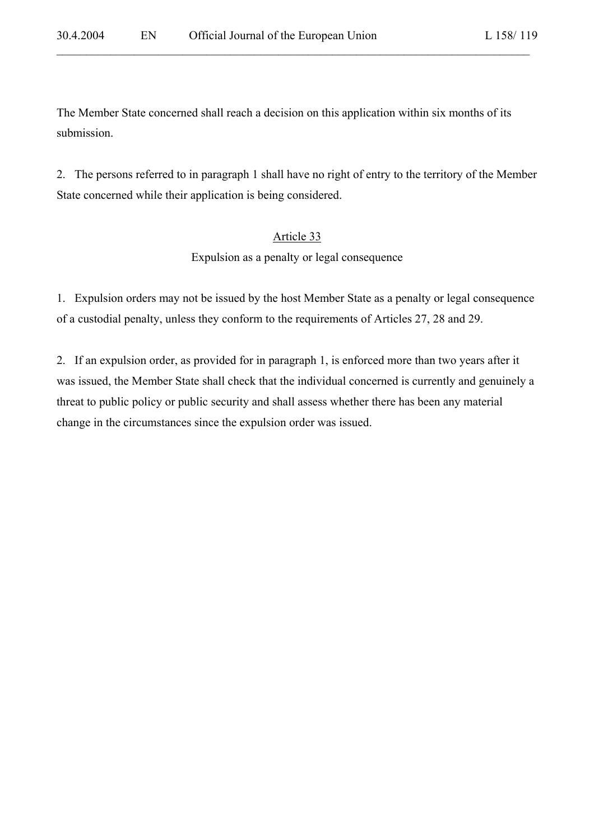The Member State concerned shall reach a decision on this application within six months of its submission.

 $\mathcal{L}_\mathcal{L} = \mathcal{L}_\mathcal{L} = \mathcal{L}_\mathcal{L} = \mathcal{L}_\mathcal{L} = \mathcal{L}_\mathcal{L} = \mathcal{L}_\mathcal{L} = \mathcal{L}_\mathcal{L} = \mathcal{L}_\mathcal{L} = \mathcal{L}_\mathcal{L} = \mathcal{L}_\mathcal{L} = \mathcal{L}_\mathcal{L} = \mathcal{L}_\mathcal{L} = \mathcal{L}_\mathcal{L} = \mathcal{L}_\mathcal{L} = \mathcal{L}_\mathcal{L} = \mathcal{L}_\mathcal{L} = \mathcal{L}_\mathcal{L}$ 

2. The persons referred to in paragraph 1 shall have no right of entry to the territory of the Member State concerned while their application is being considered.

### Article 33

Expulsion as a penalty or legal consequence

1. Expulsion orders may not be issued by the host Member State as a penalty or legal consequence of a custodial penalty, unless they conform to the requirements of Articles 27, 28 and 29.

2. If an expulsion order, as provided for in paragraph 1, is enforced more than two years after it was issued, the Member State shall check that the individual concerned is currently and genuinely a threat to public policy or public security and shall assess whether there has been any material change in the circumstances since the expulsion order was issued.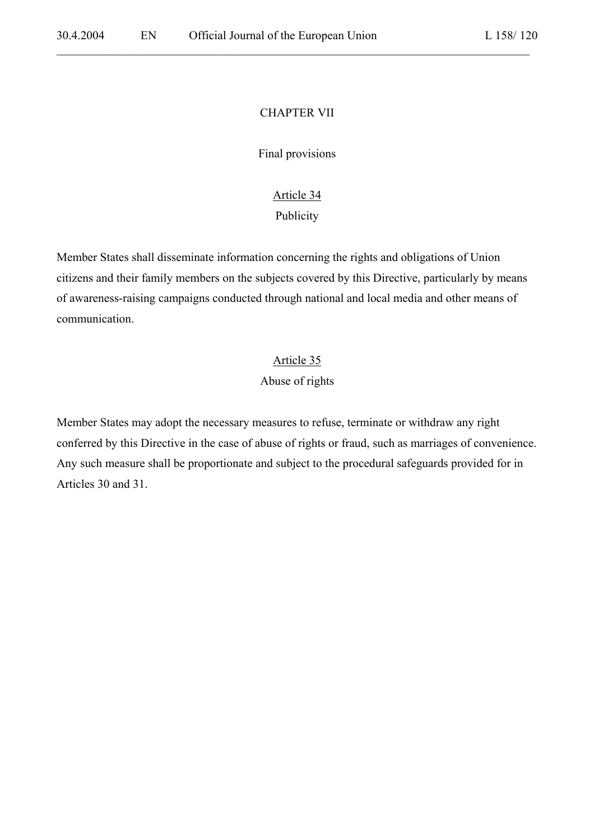### CHAPTER VII

 $\mathcal{L}_\mathcal{L} = \mathcal{L}_\mathcal{L} = \mathcal{L}_\mathcal{L} = \mathcal{L}_\mathcal{L} = \mathcal{L}_\mathcal{L} = \mathcal{L}_\mathcal{L} = \mathcal{L}_\mathcal{L} = \mathcal{L}_\mathcal{L} = \mathcal{L}_\mathcal{L} = \mathcal{L}_\mathcal{L} = \mathcal{L}_\mathcal{L} = \mathcal{L}_\mathcal{L} = \mathcal{L}_\mathcal{L} = \mathcal{L}_\mathcal{L} = \mathcal{L}_\mathcal{L} = \mathcal{L}_\mathcal{L} = \mathcal{L}_\mathcal{L}$ 

Final provisions

# Article 34

Publicity

Member States shall disseminate information concerning the rights and obligations of Union citizens and their family members on the subjects covered by this Directive, particularly by means of awareness-raising campaigns conducted through national and local media and other means of communication.

### Article 35

### Abuse of rights

Member States may adopt the necessary measures to refuse, terminate or withdraw any right conferred by this Directive in the case of abuse of rights or fraud, such as marriages of convenience. Any such measure shall be proportionate and subject to the procedural safeguards provided for in Articles 30 and 31.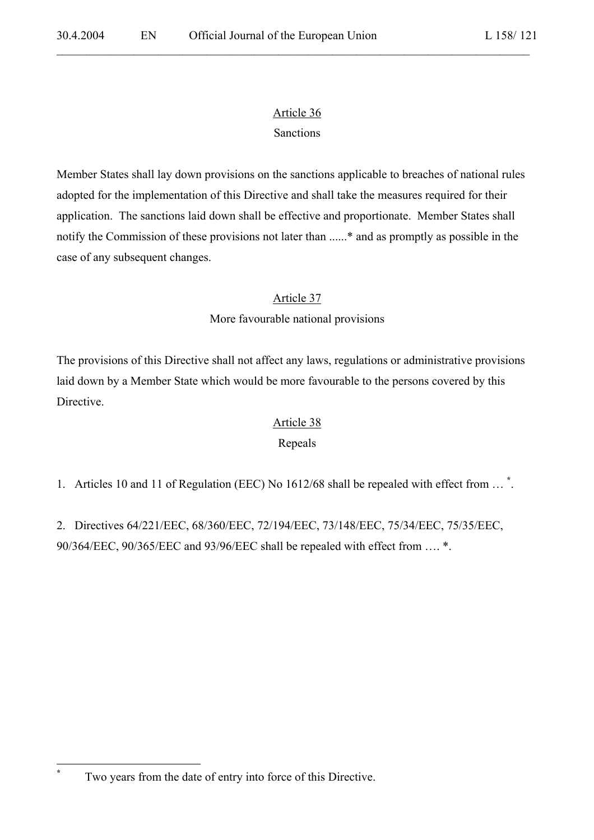# Article 36

 $\mathcal{L}_\mathcal{L} = \mathcal{L}_\mathcal{L} = \mathcal{L}_\mathcal{L} = \mathcal{L}_\mathcal{L} = \mathcal{L}_\mathcal{L} = \mathcal{L}_\mathcal{L} = \mathcal{L}_\mathcal{L} = \mathcal{L}_\mathcal{L} = \mathcal{L}_\mathcal{L} = \mathcal{L}_\mathcal{L} = \mathcal{L}_\mathcal{L} = \mathcal{L}_\mathcal{L} = \mathcal{L}_\mathcal{L} = \mathcal{L}_\mathcal{L} = \mathcal{L}_\mathcal{L} = \mathcal{L}_\mathcal{L} = \mathcal{L}_\mathcal{L}$ 

# Sanctions

Member States shall lay down provisions on the sanctions applicable to breaches of national rules adopted for the implementation of this Directive and shall take the measures required for their application. The sanctions laid down shall be effective and proportionate. Member States shall notify the Commission of these provisions not later than ......\* and as promptly as possible in the case of any subsequent changes.

# Article 37

# More favourable national provisions

The provisions of this Directive shall not affect any laws, regulations or administrative provisions laid down by a Member State which would be more favourable to the persons covered by this Directive.

# Article 38

# Repeals

1. Articles 10 and 11 of Regulation (EEC) No 1612/68 shall be repealed with effect from … **\*** .

2. Directives 64/221/EEC, 68/360/EEC, 72/194/EEC, 73/148/EEC, 75/34/EEC, 75/35/EEC, 90/364/EEC, 90/365/EEC and 93/96/EEC shall be repealed with effect from …. \*.

**\***

Two years from the date of entry into force of this Directive.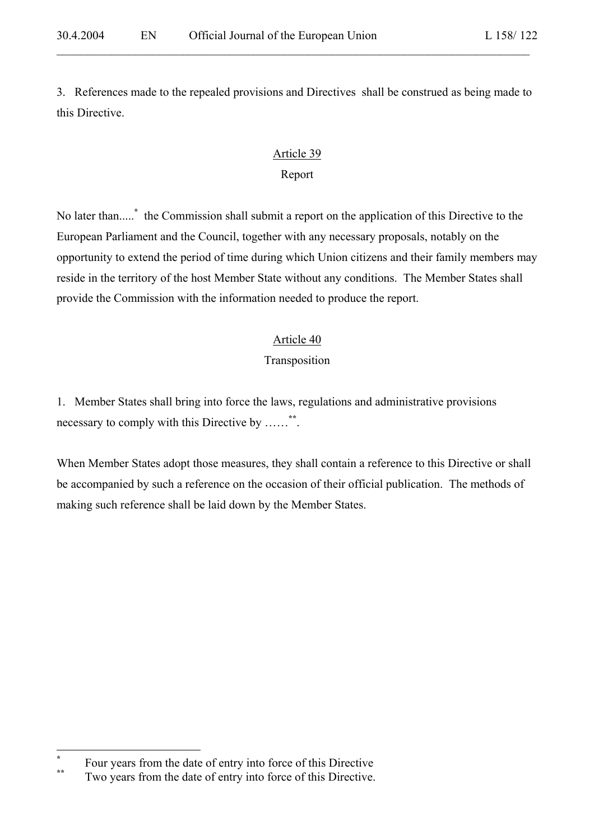3. References made to the repealed provisions and Directives shall be construed as being made to this Directive.

 $\mathcal{L}_\mathcal{L} = \mathcal{L}_\mathcal{L} = \mathcal{L}_\mathcal{L} = \mathcal{L}_\mathcal{L} = \mathcal{L}_\mathcal{L} = \mathcal{L}_\mathcal{L} = \mathcal{L}_\mathcal{L} = \mathcal{L}_\mathcal{L} = \mathcal{L}_\mathcal{L} = \mathcal{L}_\mathcal{L} = \mathcal{L}_\mathcal{L} = \mathcal{L}_\mathcal{L} = \mathcal{L}_\mathcal{L} = \mathcal{L}_\mathcal{L} = \mathcal{L}_\mathcal{L} = \mathcal{L}_\mathcal{L} = \mathcal{L}_\mathcal{L}$ 

# Article 39

### Report

No later than.....**\*** the Commission shall submit a report on the application of this Directive to the European Parliament and the Council, together with any necessary proposals, notably on the opportunity to extend the period of time during which Union citizens and their family members may reside in the territory of the host Member State without any conditions. The Member States shall provide the Commission with the information needed to produce the report.

# Article 40

# Transposition

1. Member States shall bring into force the laws, regulations and administrative provisions necessary to comply with this Directive by ……**\*\***.

When Member States adopt those measures, they shall contain a reference to this Directive or shall be accompanied by such a reference on the occasion of their official publication. The methods of making such reference shall be laid down by the Member States.

 $\overline{a}$ 

**<sup>\*</sup>** Four years from the date of entry into force of this Directive **\*\*** Two years from the date of entry into force of this Directive.